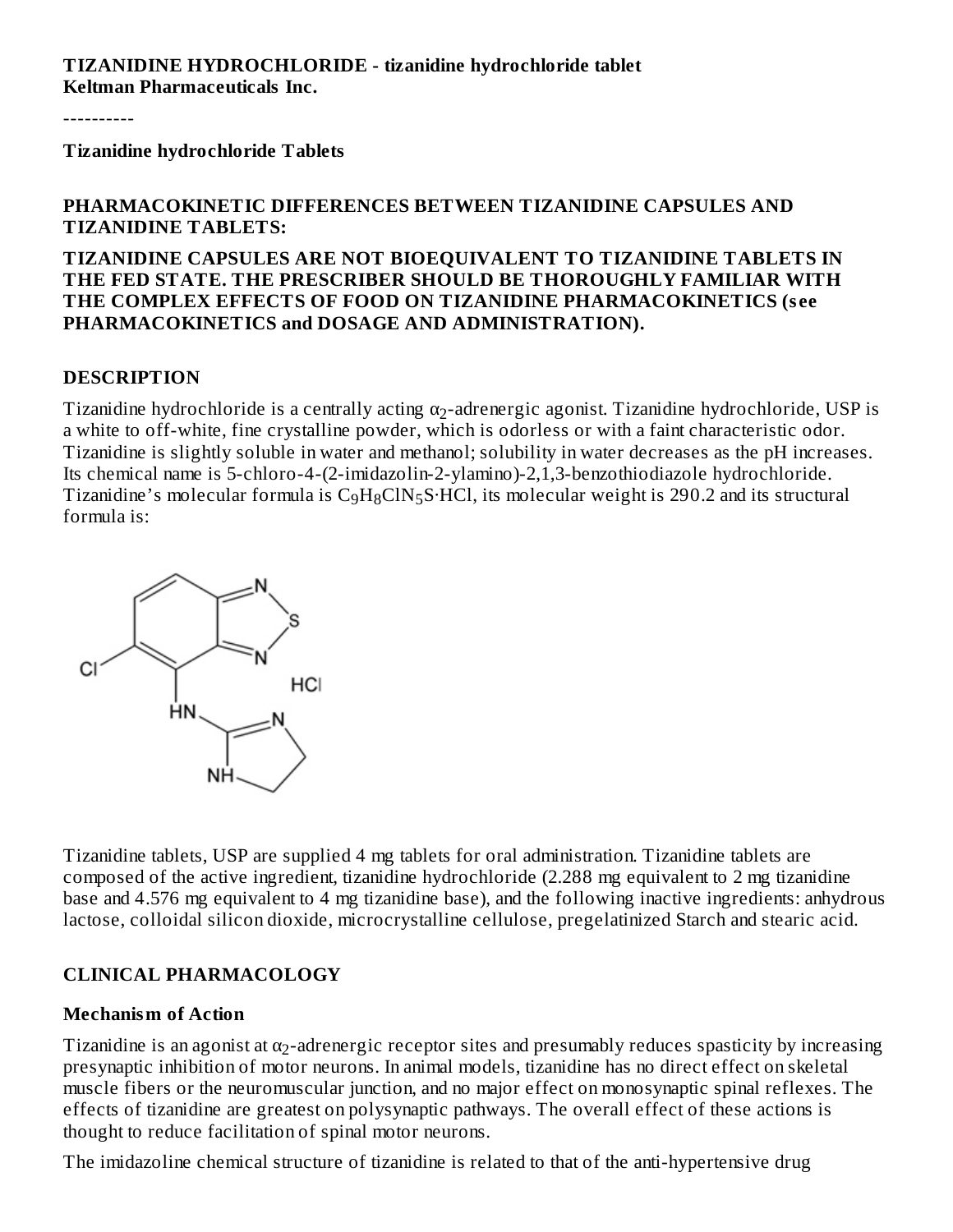**TIZANIDINE HYDROCHLORIDE - tizanidine hydrochloride tablet Keltman Pharmaceuticals Inc.**

----------

**Tizanidine hydrochloride Tablets**

#### **PHARMACOKINETIC DIFFERENCES BETWEEN TIZANIDINE CAPSULES AND TIZANIDINE TABLETS:**

#### **TIZANIDINE CAPSULES ARE NOT BIOEQUIVALENT TO TIZANIDINE TABLETS IN THE FED STATE. THE PRESCRIBER SHOULD BE THOROUGHLY FAMILIAR WITH THE COMPLEX EFFECTS OF FOOD ON TIZANIDINE PHARMACOKINETICS (s ee PHARMACOKINETICS and DOSAGE AND ADMINISTRATION).**

#### **DESCRIPTION**

Tizanidine hydrochloride is a centrally acting  $\alpha_2$ -adrenergic agonist. Tizanidine hydrochloride, USP is a white to off-white, fine crystalline powder, which is odorless or with a faint characteristic odor. Tizanidine is slightly soluble in water and methanol; solubility in water decreases as the pH increases. Its chemical name is 5-chloro-4-(2-imidazolin-2-ylamino)-2,1,3-benzothiodiazole hydrochloride. Tizanidine's molecular formula is  $C_9H_8CIN_5S·HCl$ , its molecular weight is 290.2 and its structural formula is:



Tizanidine tablets, USP are supplied 4 mg tablets for oral administration. Tizanidine tablets are composed of the active ingredient, tizanidine hydrochloride (2.288 mg equivalent to 2 mg tizanidine base and 4.576 mg equivalent to 4 mg tizanidine base), and the following inactive ingredients: anhydrous lactose, colloidal silicon dioxide, microcrystalline cellulose, pregelatinized Starch and stearic acid.

### **CLINICAL PHARMACOLOGY**

#### **Mechanism of Action**

Tizanidine is an agonist at  $\alpha_2$ -adrenergic receptor sites and presumably reduces spasticity by increasing presynaptic inhibition of motor neurons. In animal models, tizanidine has no direct effect on skeletal muscle fibers or the neuromuscular junction, and no major effect on monosynaptic spinal reflexes. The effects of tizanidine are greatest on polysynaptic pathways. The overall effect of these actions is thought to reduce facilitation of spinal motor neurons.

The imidazoline chemical structure of tizanidine is related to that of the anti-hypertensive drug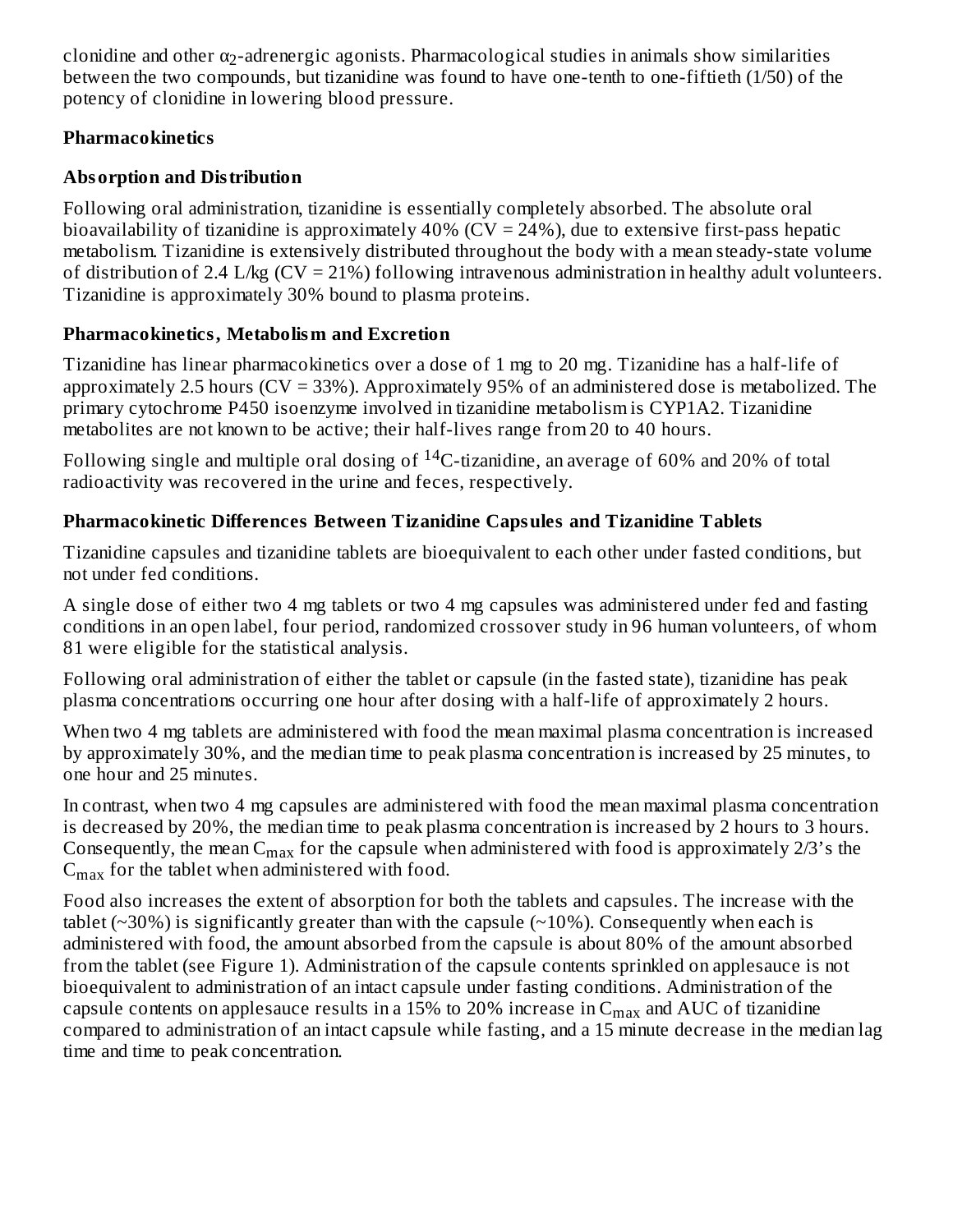clonidine and other  $\alpha_2$ -adrenergic agonists. Pharmacological studies in animals show similarities between the two compounds, but tizanidine was found to have one-tenth to one-fiftieth (1/50) of the potency of clonidine in lowering blood pressure.

# **Pharmacokinetics**

# **Absorption and Distribution**

Following oral administration, tizanidine is essentially completely absorbed. The absolute oral bioavailability of tizanidine is approximately  $40\%$  (CV = 24%), due to extensive first-pass hepatic metabolism. Tizanidine is extensively distributed throughout the body with a mean steady-state volume of distribution of 2.4 L/kg  $(CV = 21%)$  following intravenous administration in healthy adult volunteers. Tizanidine is approximately 30% bound to plasma proteins.

# **Pharmacokinetics, Metabolism and Excretion**

Tizanidine has linear pharmacokinetics over a dose of 1 mg to 20 mg. Tizanidine has a half-life of approximately 2.5 hours (CV = 33%). Approximately 95% of an administered dose is metabolized. The primary cytochrome P450 isoenzyme involved in tizanidine metabolism is CYP1A2. Tizanidine metabolites are not known to be active; their half-lives range from 20 to 40 hours.

Following single and multiple oral dosing of  $^{14}$ C-tizanidine, an average of 60% and 20% of total radioactivity was recovered in the urine and feces, respectively.

# **Pharmacokinetic Differences Between Tizanidine Capsules and Tizanidine Tablets**

Tizanidine capsules and tizanidine tablets are bioequivalent to each other under fasted conditions, but not under fed conditions.

A single dose of either two 4 mg tablets or two 4 mg capsules was administered under fed and fasting conditions in an open label, four period, randomized crossover study in 96 human volunteers, of whom 81 were eligible for the statistical analysis.

Following oral administration of either the tablet or capsule (in the fasted state), tizanidine has peak plasma concentrations occurring one hour after dosing with a half-life of approximately 2 hours.

When two 4 mg tablets are administered with food the mean maximal plasma concentration is increased by approximately 30%, and the median time to peak plasma concentration is increased by 25 minutes, to one hour and 25 minutes.

In contrast, when two 4 mg capsules are administered with food the mean maximal plasma concentration is decreased by 20%, the median time to peak plasma concentration is increased by 2 hours to 3 hours. Consequently, the mean  $C_{max}$  for the capsule when administered with food is approximately 2/3's the  $C_{\rm max}$  for the tablet when administered with food.

Food also increases the extent of absorption for both the tablets and capsules. The increase with the tablet ( $\approx$ 30%) is significantly greater than with the capsule ( $\approx$ 10%). Consequently when each is administered with food, the amount absorbed from the capsule is about 80% of the amount absorbed from the tablet (see Figure 1). Administration of the capsule contents sprinkled on applesauce is not bioequivalent to administration of an intact capsule under fasting conditions. Administration of the capsule contents on applesauce results in a 15% to 20% increase in  $\rm{C_{max}}$  and  $\rm{AUC}$  of tizanidine compared to administration of an intact capsule while fasting, and a 15 minute decrease in the median lag time and time to peak concentration.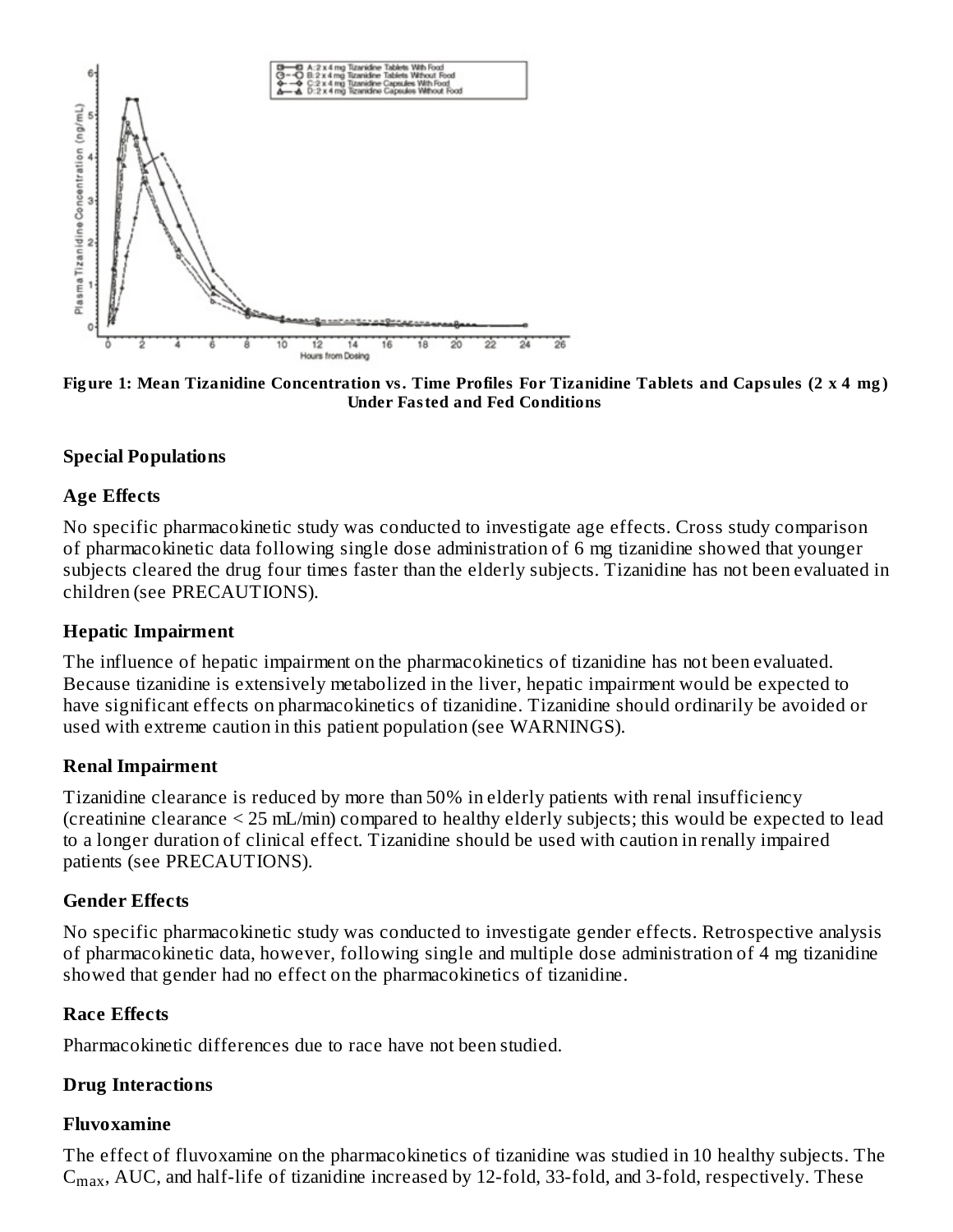

Figure 1: Mean Tizanidine Concentration vs. Time Profiles For Tizanidine Tablets and Capsules (2 x 4 mg) **Under Fasted and Fed Conditions**

#### **Special Populations**

#### **Age Effects**

No specific pharmacokinetic study was conducted to investigate age effects. Cross study comparison of pharmacokinetic data following single dose administration of 6 mg tizanidine showed that younger subjects cleared the drug four times faster than the elderly subjects. Tizanidine has not been evaluated in children (see PRECAUTIONS).

#### **Hepatic Impairment**

The influence of hepatic impairment on the pharmacokinetics of tizanidine has not been evaluated. Because tizanidine is extensively metabolized in the liver, hepatic impairment would be expected to have significant effects on pharmacokinetics of tizanidine. Tizanidine should ordinarily be avoided or used with extreme caution in this patient population (see WARNINGS).

#### **Renal Impairment**

Tizanidine clearance is reduced by more than 50% in elderly patients with renal insufficiency (creatinine clearance < 25 mL/min) compared to healthy elderly subjects; this would be expected to lead to a longer duration of clinical effect. Tizanidine should be used with caution in renally impaired patients (see PRECAUTIONS).

#### **Gender Effects**

No specific pharmacokinetic study was conducted to investigate gender effects. Retrospective analysis of pharmacokinetic data, however, following single and multiple dose administration of 4 mg tizanidine showed that gender had no effect on the pharmacokinetics of tizanidine.

#### **Race Effects**

Pharmacokinetic differences due to race have not been studied.

#### **Drug Interactions**

#### **Fluvoxamine**

The effect of fluvoxamine on the pharmacokinetics of tizanidine was studied in 10 healthy subjects. The  $C<sub>max</sub>$ , AUC, and half-life of tizanidine increased by 12-fold, 33-fold, and 3-fold, respectively. These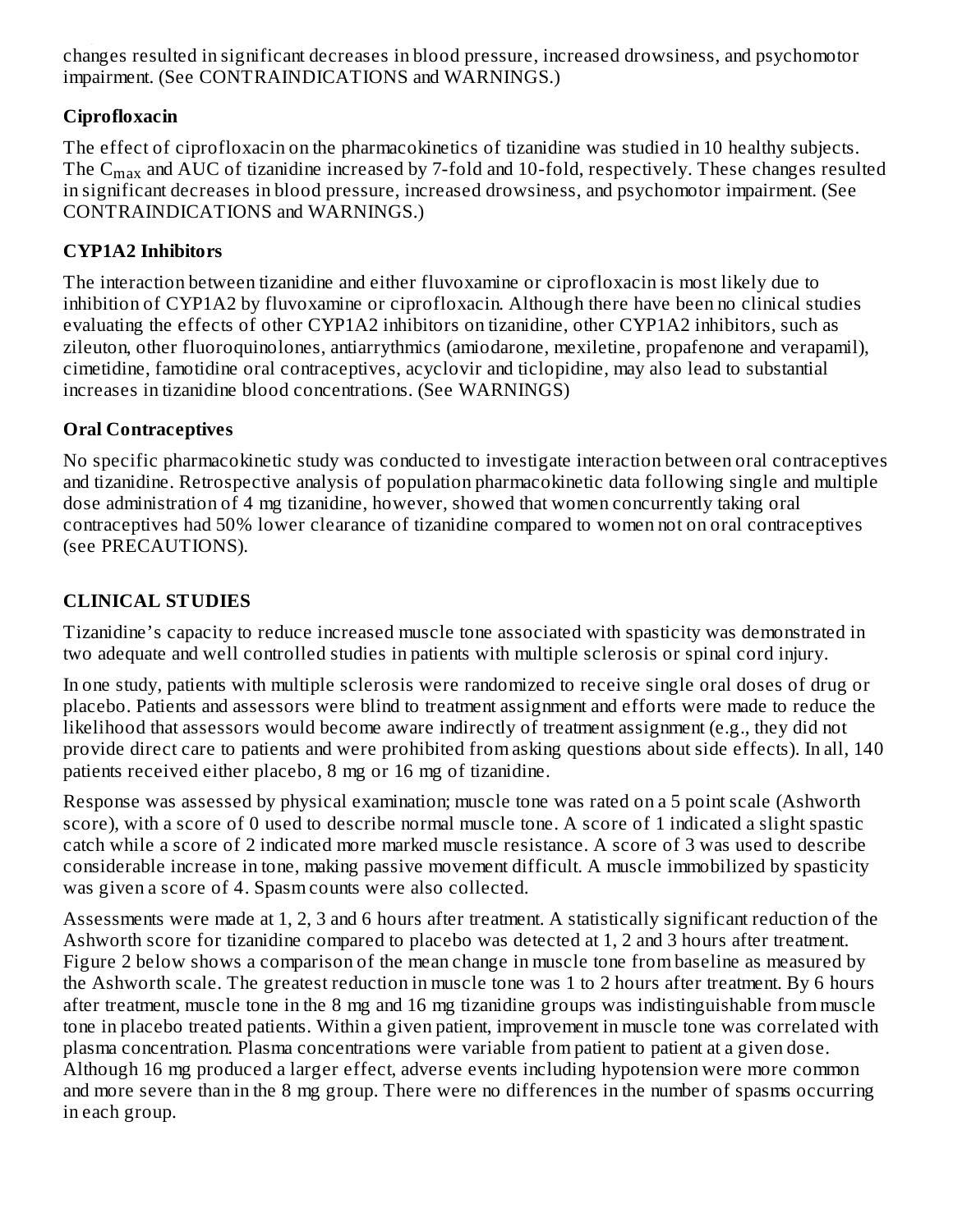changes resulted in significant decreases in blood pressure, increased drowsiness, and psychomotor impairment. (See CONTRAINDICATIONS and WARNINGS.) ...<sub>...</sub>.

# **Ciprofloxacin**

The effect of ciprofloxacin on the pharmacokinetics of tizanidine was studied in 10 healthy subjects. The  $\rm{C_{max}}$  and  $\rm{AUC}$  of tizanidine increased by 7-fold and 10-fold, respectively. These changes resulted in significant decreases in blood pressure, increased drowsiness, and psychomotor impairment. (See CONTRAINDICATIONS and WARNINGS.)

# **CYP1A2 Inhibitors**

The interaction between tizanidine and either fluvoxamine or ciprofloxacin is most likely due to inhibition of CYP1A2 by fluvoxamine or ciprofloxacin. Although there have been no clinical studies evaluating the effects of other CYP1A2 inhibitors on tizanidine, other CYP1A2 inhibitors, such as zileuton, other fluoroquinolones, antiarrythmics (amiodarone, mexiletine, propafenone and verapamil), cimetidine, famotidine oral contraceptives, acyclovir and ticlopidine, may also lead to substantial increases in tizanidine blood concentrations. (See WARNINGS)

# **Oral Contraceptives**

No specific pharmacokinetic study was conducted to investigate interaction between oral contraceptives and tizanidine. Retrospective analysis of population pharmacokinetic data following single and multiple dose administration of 4 mg tizanidine, however, showed that women concurrently taking oral contraceptives had 50% lower clearance of tizanidine compared to women not on oral contraceptives (see PRECAUTIONS).

# **CLINICAL STUDIES**

Tizanidine's capacity to reduce increased muscle tone associated with spasticity was demonstrated in two adequate and well controlled studies in patients with multiple sclerosis or spinal cord injury.

In one study, patients with multiple sclerosis were randomized to receive single oral doses of drug or placebo. Patients and assessors were blind to treatment assignment and efforts were made to reduce the likelihood that assessors would become aware indirectly of treatment assignment (e.g., they did not provide direct care to patients and were prohibited from asking questions about side effects). In all, 140 patients received either placebo, 8 mg or 16 mg of tizanidine.

Response was assessed by physical examination; muscle tone was rated on a 5 point scale (Ashworth score), with a score of 0 used to describe normal muscle tone. A score of 1 indicated a slight spastic catch while a score of 2 indicated more marked muscle resistance. A score of 3 was used to describe considerable increase in tone, making passive movement difficult. A muscle immobilized by spasticity was given a score of 4. Spasm counts were also collected.

Assessments were made at 1, 2, 3 and 6 hours after treatment. A statistically significant reduction of the Ashworth score for tizanidine compared to placebo was detected at 1, 2 and 3 hours after treatment. Figure 2 below shows a comparison of the mean change in muscle tone from baseline as measured by the Ashworth scale. The greatest reduction in muscle tone was 1 to 2 hours after treatment. By 6 hours after treatment, muscle tone in the 8 mg and 16 mg tizanidine groups was indistinguishable from muscle tone in placebo treated patients. Within a given patient, improvement in muscle tone was correlated with plasma concentration. Plasma concentrations were variable from patient to patient at a given dose. Although 16 mg produced a larger effect, adverse events including hypotension were more common and more severe than in the 8 mg group. There were no differences in the number of spasms occurring in each group.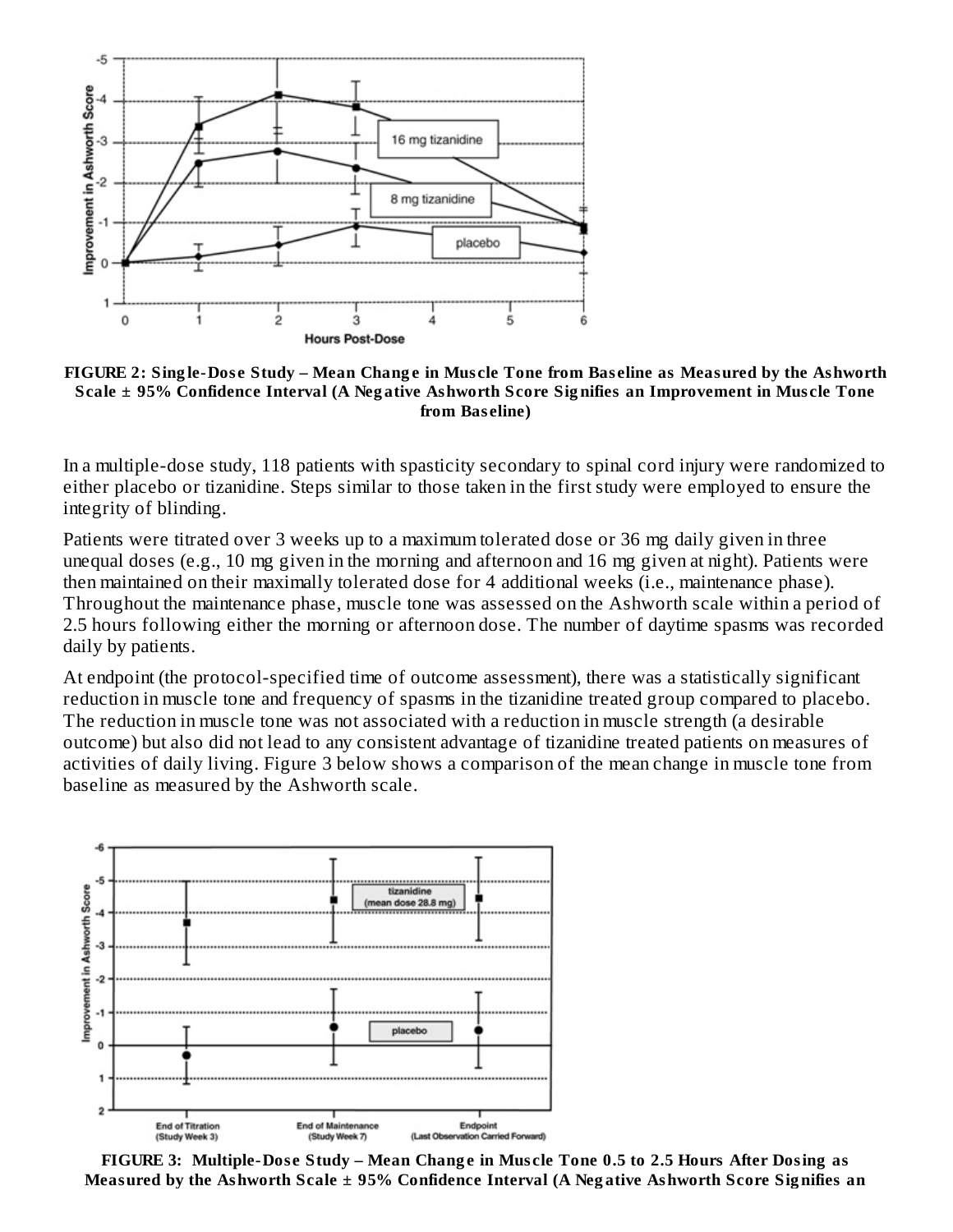

FIGURE 2: Single-Dose Study – Mean Change in Muscle Tone from Baseline as Measured by the Ashworth Scale ± 95% Confidence Interval (A Negative Ashworth Score Signifies an Improvement in Muscle Tone **from Bas eline)**

In a multiple-dose study, 118 patients with spasticity secondary to spinal cord injury were randomized to either placebo or tizanidine. Steps similar to those taken in the first study were employed to ensure the integrity of blinding.

Patients were titrated over 3 weeks up to a maximum tolerated dose or 36 mg daily given in three unequal doses (e.g., 10 mg given in the morning and afternoon and 16 mg given at night). Patients were then maintained on their maximally tolerated dose for 4 additional weeks (i.e., maintenance phase). Throughout the maintenance phase, muscle tone was assessed on the Ashworth scale within a period of 2.5 hours following either the morning or afternoon dose. The number of daytime spasms was recorded daily by patients.

At endpoint (the protocol-specified time of outcome assessment), there was a statistically significant reduction in muscle tone and frequency of spasms in the tizanidine treated group compared to placebo. The reduction in muscle tone was not associated with a reduction in muscle strength (a desirable outcome) but also did not lead to any consistent advantage of tizanidine treated patients on measures of activities of daily living. Figure 3 below shows a comparison of the mean change in muscle tone from baseline as measured by the Ashworth scale.



FIGURE 3: Multiple-Dose Study – Mean Change in Muscle Tone 0.5 to 2.5 Hours After Dosing as **Measured by the Ashworth Scale ± 95% Confidence Interval (A Neg ative Ashworth Score Sig nifies an**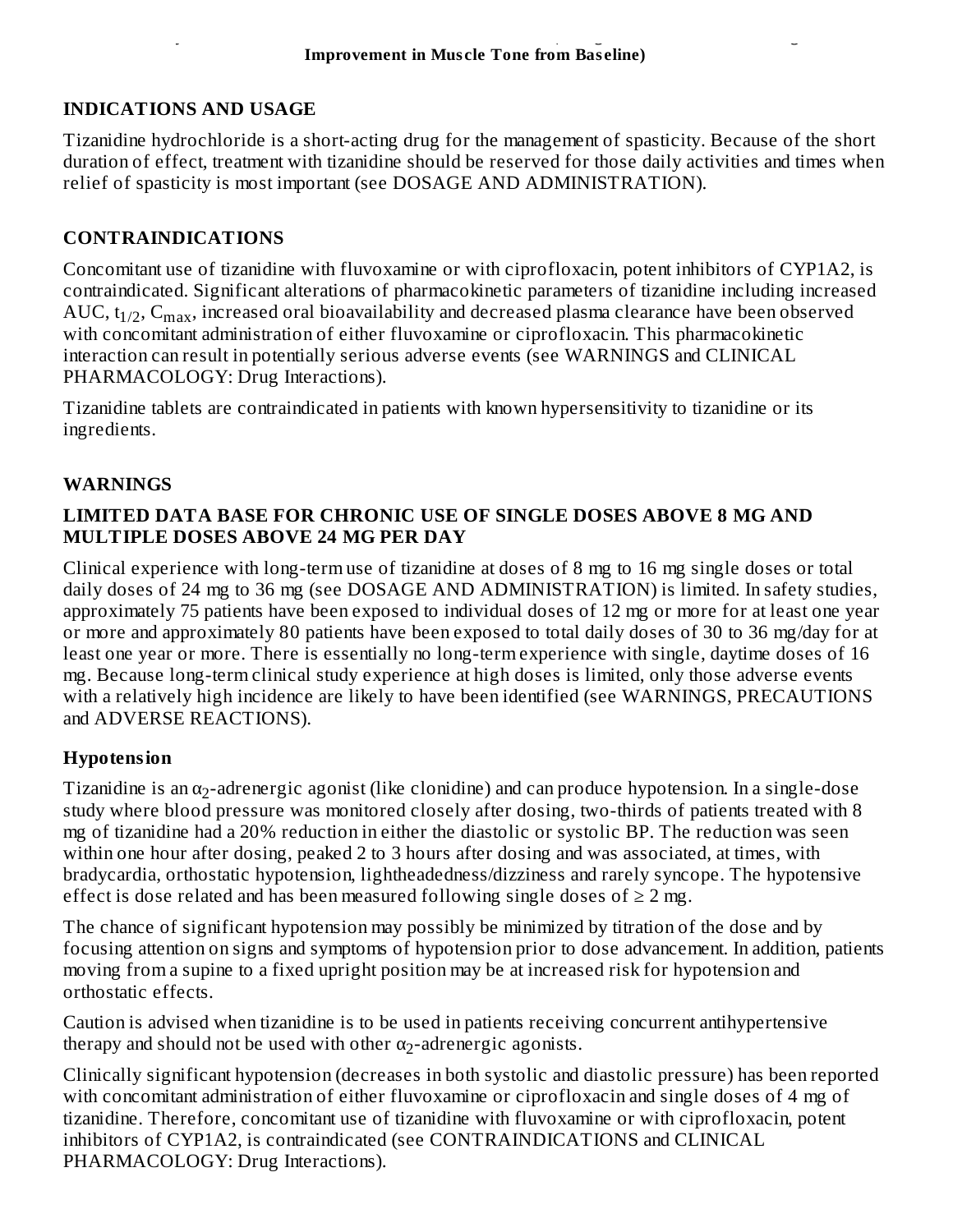### **INDICATIONS AND USAGE**

Tizanidine hydrochloride is a short-acting drug for the management of spasticity. Because of the short duration of effect, treatment with tizanidine should be reserved for those daily activities and times when relief of spasticity is most important (see DOSAGE AND ADMINISTRATION).

# **CONTRAINDICATIONS**

Concomitant use of tizanidine with fluvoxamine or with ciprofloxacin, potent inhibitors of CYP1A2, is contraindicated. Significant alterations of pharmacokinetic parameters of tizanidine including increased AUC, t $_{1/2}$ , C $_{\rm max}$ , increased oral bioavailability and decreased plasma clearance have been observed with concomitant administration of either fluvoxamine or ciprofloxacin. This pharmacokinetic interaction can result in potentially serious adverse events (see WARNINGS and CLINICAL PHARMACOLOGY: Drug Interactions).

Tizanidine tablets are contraindicated in patients with known hypersensitivity to tizanidine or its ingredients.

### **WARNINGS**

### **LIMITED DATA BASE FOR CHRONIC USE OF SINGLE DOSES ABOVE 8 MG AND MULTIPLE DOSES ABOVE 24 MG PER DAY**

Clinical experience with long-term use of tizanidine at doses of 8 mg to 16 mg single doses or total daily doses of 24 mg to 36 mg (see DOSAGE AND ADMINISTRATION) is limited. In safety studies, approximately 75 patients have been exposed to individual doses of 12 mg or more for at least one year or more and approximately 80 patients have been exposed to total daily doses of 30 to 36 mg/day for at least one year or more. There is essentially no long-term experience with single, daytime doses of 16 mg. Because long-term clinical study experience at high doses is limited, only those adverse events with a relatively high incidence are likely to have been identified (see WARNINGS, PRECAUTIONS and ADVERSE REACTIONS).

# **Hypotension**

Tizanidine is an  $\alpha_2$ -adrenergic agonist (like clonidine) and can produce hypotension. In a single-dose study where blood pressure was monitored closely after dosing, two-thirds of patients treated with 8 mg of tizanidine had a 20% reduction in either the diastolic or systolic BP. The reduction was seen within one hour after dosing, peaked 2 to 3 hours after dosing and was associated, at times, with bradycardia, orthostatic hypotension, lightheadedness/dizziness and rarely syncope. The hypotensive effect is dose related and has been measured following single doses of  $\geq 2$  mg.

The chance of significant hypotension may possibly be minimized by titration of the dose and by focusing attention on signs and symptoms of hypotension prior to dose advancement. In addition, patients moving from a supine to a fixed upright position may be at increased risk for hypotension and orthostatic effects.

Caution is advised when tizanidine is to be used in patients receiving concurrent antihypertensive therapy and should not be used with other  $\alpha_2$ -adrenergic agonists.

Clinically significant hypotension (decreases in both systolic and diastolic pressure) has been reported with concomitant administration of either fluvoxamine or ciprofloxacin and single doses of 4 mg of tizanidine. Therefore, concomitant use of tizanidine with fluvoxamine or with ciprofloxacin, potent inhibitors of CYP1A2, is contraindicated (see CONTRAINDICATIONS and CLINICAL PHARMACOLOGY: Drug Interactions).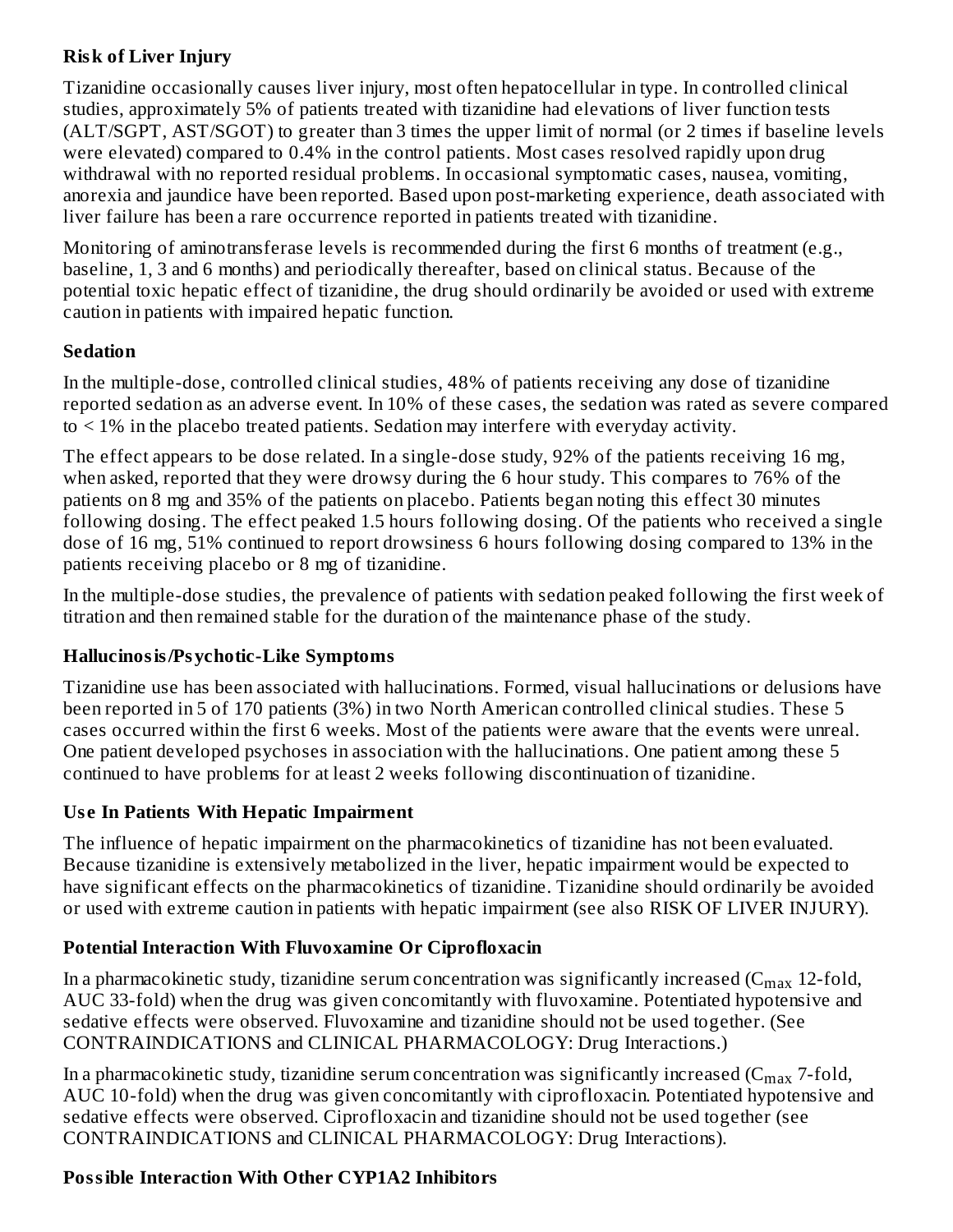# **Risk of Liver Injury**

Tizanidine occasionally causes liver injury, most often hepatocellular in type. In controlled clinical studies, approximately 5% of patients treated with tizanidine had elevations of liver function tests (ALT/SGPT, AST/SGOT) to greater than 3 times the upper limit of normal (or 2 times if baseline levels were elevated) compared to 0.4% in the control patients. Most cases resolved rapidly upon drug withdrawal with no reported residual problems. In occasional symptomatic cases, nausea, vomiting, anorexia and jaundice have been reported. Based upon post-marketing experience, death associated with liver failure has been a rare occurrence reported in patients treated with tizanidine.

Monitoring of aminotransferase levels is recommended during the first 6 months of treatment (e.g., baseline, 1, 3 and 6 months) and periodically thereafter, based on clinical status. Because of the potential toxic hepatic effect of tizanidine, the drug should ordinarily be avoided or used with extreme caution in patients with impaired hepatic function.

### **Sedation**

In the multiple-dose, controlled clinical studies, 48% of patients receiving any dose of tizanidine reported sedation as an adverse event. In 10% of these cases, the sedation was rated as severe compared to < 1% in the placebo treated patients. Sedation may interfere with everyday activity.

The effect appears to be dose related. In a single-dose study, 92% of the patients receiving 16 mg, when asked, reported that they were drowsy during the 6 hour study. This compares to 76% of the patients on 8 mg and 35% of the patients on placebo. Patients began noting this effect 30 minutes following dosing. The effect peaked 1.5 hours following dosing. Of the patients who received a single dose of 16 mg, 51% continued to report drowsiness 6 hours following dosing compared to 13% in the patients receiving placebo or 8 mg of tizanidine.

In the multiple-dose studies, the prevalence of patients with sedation peaked following the first week of titration and then remained stable for the duration of the maintenance phase of the study.

# **Hallucinosis/Psychotic-Like Symptoms**

Tizanidine use has been associated with hallucinations. Formed, visual hallucinations or delusions have been reported in 5 of 170 patients (3%) in two North American controlled clinical studies. These 5 cases occurred within the first 6 weeks. Most of the patients were aware that the events were unreal. One patient developed psychoses in association with the hallucinations. One patient among these 5 continued to have problems for at least 2 weeks following discontinuation of tizanidine.

# **Us e In Patients With Hepatic Impairment**

The influence of hepatic impairment on the pharmacokinetics of tizanidine has not been evaluated. Because tizanidine is extensively metabolized in the liver, hepatic impairment would be expected to have significant effects on the pharmacokinetics of tizanidine. Tizanidine should ordinarily be avoided or used with extreme caution in patients with hepatic impairment (see also RISK OF LIVER INJURY).

# **Potential Interaction With Fluvoxamine Or Ciprofloxacin**

In a pharmacokinetic study, tizanidine serum concentration was significantly increased (C $_{\rm max}$  12-fold, AUC 33-fold) when the drug was given concomitantly with fluvoxamine. Potentiated hypotensive and sedative effects were observed. Fluvoxamine and tizanidine should not be used together. (See CONTRAINDICATIONS and CLINICAL PHARMACOLOGY: Drug Interactions.)

In a pharmacokinetic study, tizanidine serum concentration was significantly increased (C $_{\rm max}$  7-fold, AUC 10-fold) when the drug was given concomitantly with ciprofloxacin. Potentiated hypotensive and sedative effects were observed. Ciprofloxacin and tizanidine should not be used together (see CONTRAINDICATIONS and CLINICAL PHARMACOLOGY: Drug Interactions).

# **Possible Interaction With Other CYP1A2 Inhibitors**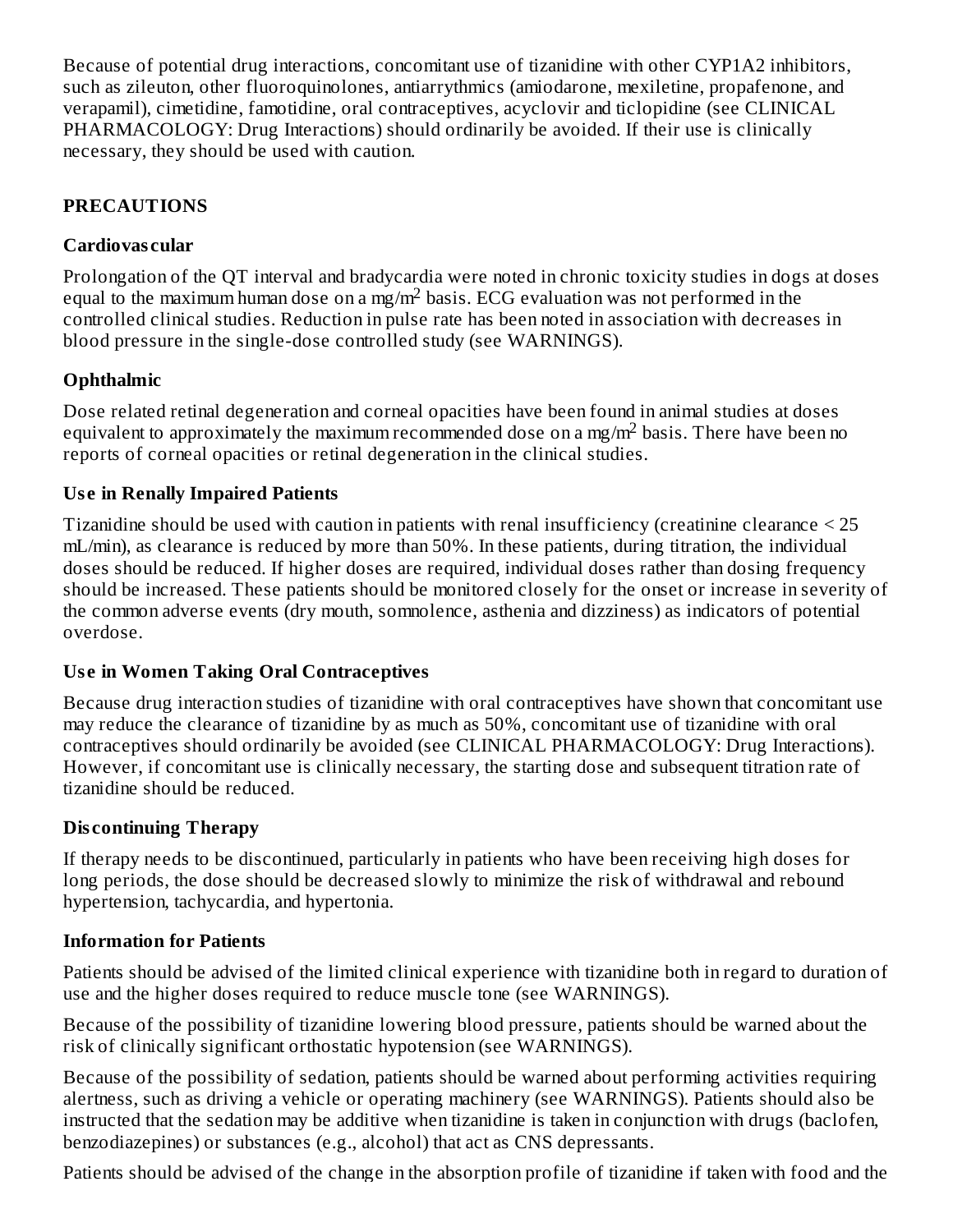Because of potential drug interactions, concomitant use of tizanidine with other CYP1A2 inhibitors, such as zileuton, other fluoroquinolones, antiarrythmics (amiodarone, mexiletine, propafenone, and verapamil), cimetidine, famotidine, oral contraceptives, acyclovir and ticlopidine (see CLINICAL PHARMACOLOGY: Drug Interactions) should ordinarily be avoided. If their use is clinically necessary, they should be used with caution.

# **PRECAUTIONS**

### **Cardiovas cular**

Prolongation of the QT interval and bradycardia were noted in chronic toxicity studies in dogs at doses equal to the maximum human dose on a mg/m<sup>2</sup> basis. ECG evaluation was not performed in the controlled clinical studies. Reduction in pulse rate has been noted in association with decreases in blood pressure in the single-dose controlled study (see WARNINGS).

# **Ophthalmic**

Dose related retinal degeneration and corneal opacities have been found in animal studies at doses equivalent to approximately the maximum recommended dose on a mg/m<sup>2</sup> basis. There have been no reports of corneal opacities or retinal degeneration in the clinical studies.

### **Us e in Renally Impaired Patients**

Tizanidine should be used with caution in patients with renal insufficiency (creatinine clearance < 25 mL/min), as clearance is reduced by more than 50%. In these patients, during titration, the individual doses should be reduced. If higher doses are required, individual doses rather than dosing frequency should be increased. These patients should be monitored closely for the onset or increase in severity of the common adverse events (dry mouth, somnolence, asthenia and dizziness) as indicators of potential overdose.

### **Us e in Women Taking Oral Contraceptives**

Because drug interaction studies of tizanidine with oral contraceptives have shown that concomitant use may reduce the clearance of tizanidine by as much as 50%, concomitant use of tizanidine with oral contraceptives should ordinarily be avoided (see CLINICAL PHARMACOLOGY: Drug Interactions). However, if concomitant use is clinically necessary, the starting dose and subsequent titration rate of tizanidine should be reduced.

# **Dis continuing Therapy**

If therapy needs to be discontinued, particularly in patients who have been receiving high doses for long periods, the dose should be decreased slowly to minimize the risk of withdrawal and rebound hypertension, tachycardia, and hypertonia.

### **Information for Patients**

Patients should be advised of the limited clinical experience with tizanidine both in regard to duration of use and the higher doses required to reduce muscle tone (see WARNINGS).

Because of the possibility of tizanidine lowering blood pressure, patients should be warned about the risk of clinically significant orthostatic hypotension (see WARNINGS).

Because of the possibility of sedation, patients should be warned about performing activities requiring alertness, such as driving a vehicle or operating machinery (see WARNINGS). Patients should also be instructed that the sedation may be additive when tizanidine is taken in conjunction with drugs (baclofen, benzodiazepines) or substances (e.g., alcohol) that act as CNS depressants.

Patients should be advised of the change in the absorption profile of tizanidine if taken with food and the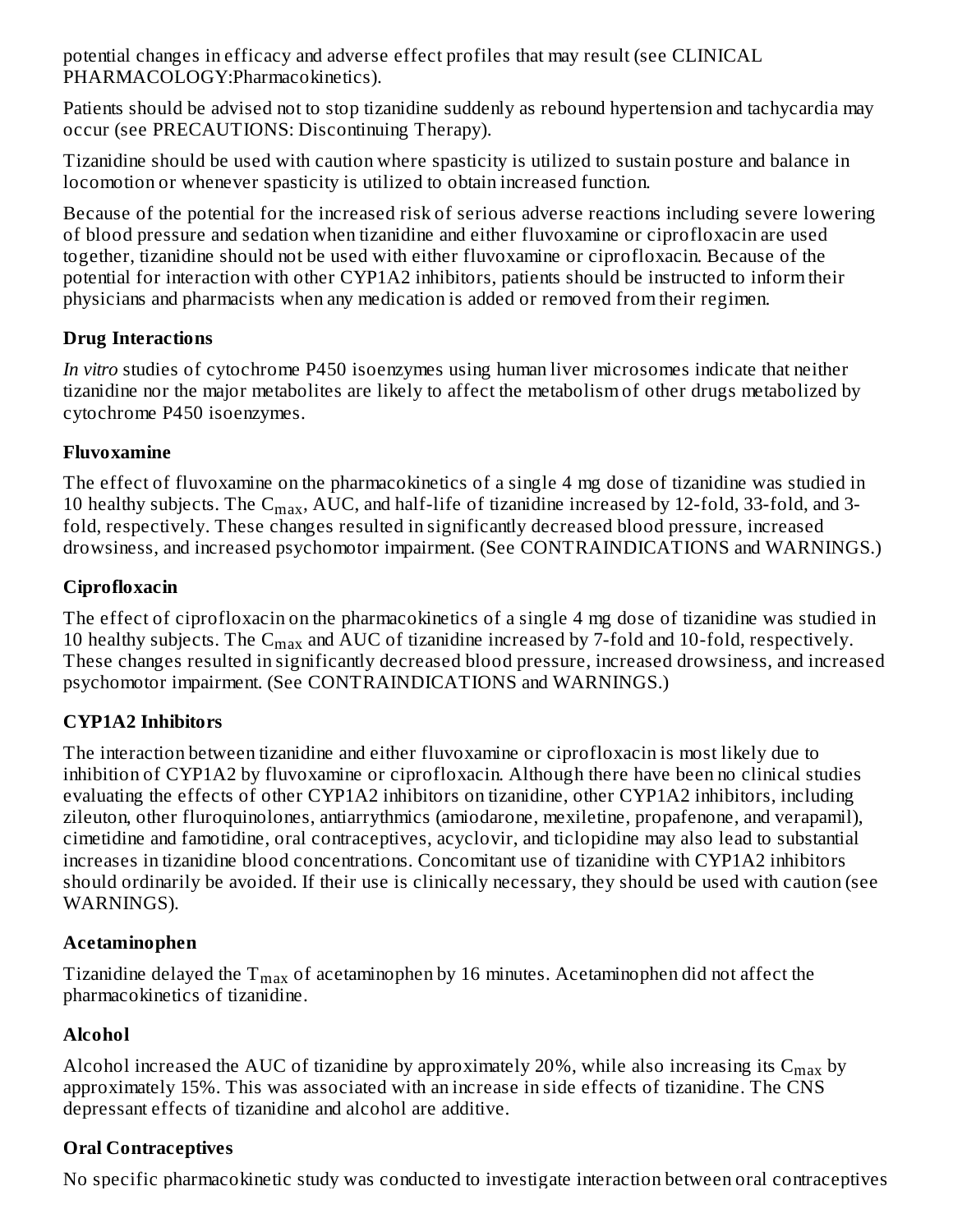potential changes in efficacy and adverse effect profiles that may result (see CLINICAL PHARMACOLOGY:Pharmacokinetics).

Patients should be advised not to stop tizanidine suddenly as rebound hypertension and tachycardia may occur (see PRECAUTIONS: Discontinuing Therapy).

Tizanidine should be used with caution where spasticity is utilized to sustain posture and balance in locomotion or whenever spasticity is utilized to obtain increased function.

Because of the potential for the increased risk of serious adverse reactions including severe lowering of blood pressure and sedation when tizanidine and either fluvoxamine or ciprofloxacin are used together, tizanidine should not be used with either fluvoxamine or ciprofloxacin. Because of the potential for interaction with other CYP1A2 inhibitors, patients should be instructed to inform their physicians and pharmacists when any medication is added or removed from their regimen.

# **Drug Interactions**

*In vitro* studies of cytochrome P450 isoenzymes using human liver microsomes indicate that neither tizanidine nor the major metabolites are likely to affect the metabolism of other drugs metabolized by cytochrome P450 isoenzymes.

# **Fluvoxamine**

The effect of fluvoxamine on the pharmacokinetics of a single 4 mg dose of tizanidine was studied in 10 healthy subjects. The  $C_{max}$ , AUC, and half-life of tizanidine increased by 12-fold, 33-fold, and 3fold, respectively. These changes resulted in significantly decreased blood pressure, increased drowsiness, and increased psychomotor impairment. (See CONTRAINDICATIONS and WARNINGS.)

# **Ciprofloxacin**

The effect of ciprofloxacin on the pharmacokinetics of a single 4 mg dose of tizanidine was studied in 10 healthy subjects. The  $\mathsf{C}_{\max}$  and AUC of tizanidine increased by 7-fold and 10-fold, respectively. These changes resulted in significantly decreased blood pressure, increased drowsiness, and increased psychomotor impairment. (See CONTRAINDICATIONS and WARNINGS.)

# **CYP1A2 Inhibitors**

The interaction between tizanidine and either fluvoxamine or ciprofloxacin is most likely due to inhibition of CYP1A2 by fluvoxamine or ciprofloxacin. Although there have been no clinical studies evaluating the effects of other CYP1A2 inhibitors on tizanidine, other CYP1A2 inhibitors, including zileuton, other fluroquinolones, antiarrythmics (amiodarone, mexiletine, propafenone, and verapamil), cimetidine and famotidine, oral contraceptives, acyclovir, and ticlopidine may also lead to substantial increases in tizanidine blood concentrations. Concomitant use of tizanidine with CYP1A2 inhibitors should ordinarily be avoided. If their use is clinically necessary, they should be used with caution (see WARNINGS).

# **Acetaminophen**

Tizanidine delayed the  $\rm T_{max}$  of acetaminophen by 16 minutes. Acetaminophen did not affect the pharmacokinetics of tizanidine.

# **Alcohol**

Alcohol increased the AUC of tizanidine by approximately 20%, while also increasing its  $\rm{C_{max}}$  by approximately 15%. This was associated with an increase in side effects of tizanidine. The CNS depressant effects of tizanidine and alcohol are additive.

# **Oral Contraceptives**

No specific pharmacokinetic study was conducted to investigate interaction between oral contraceptives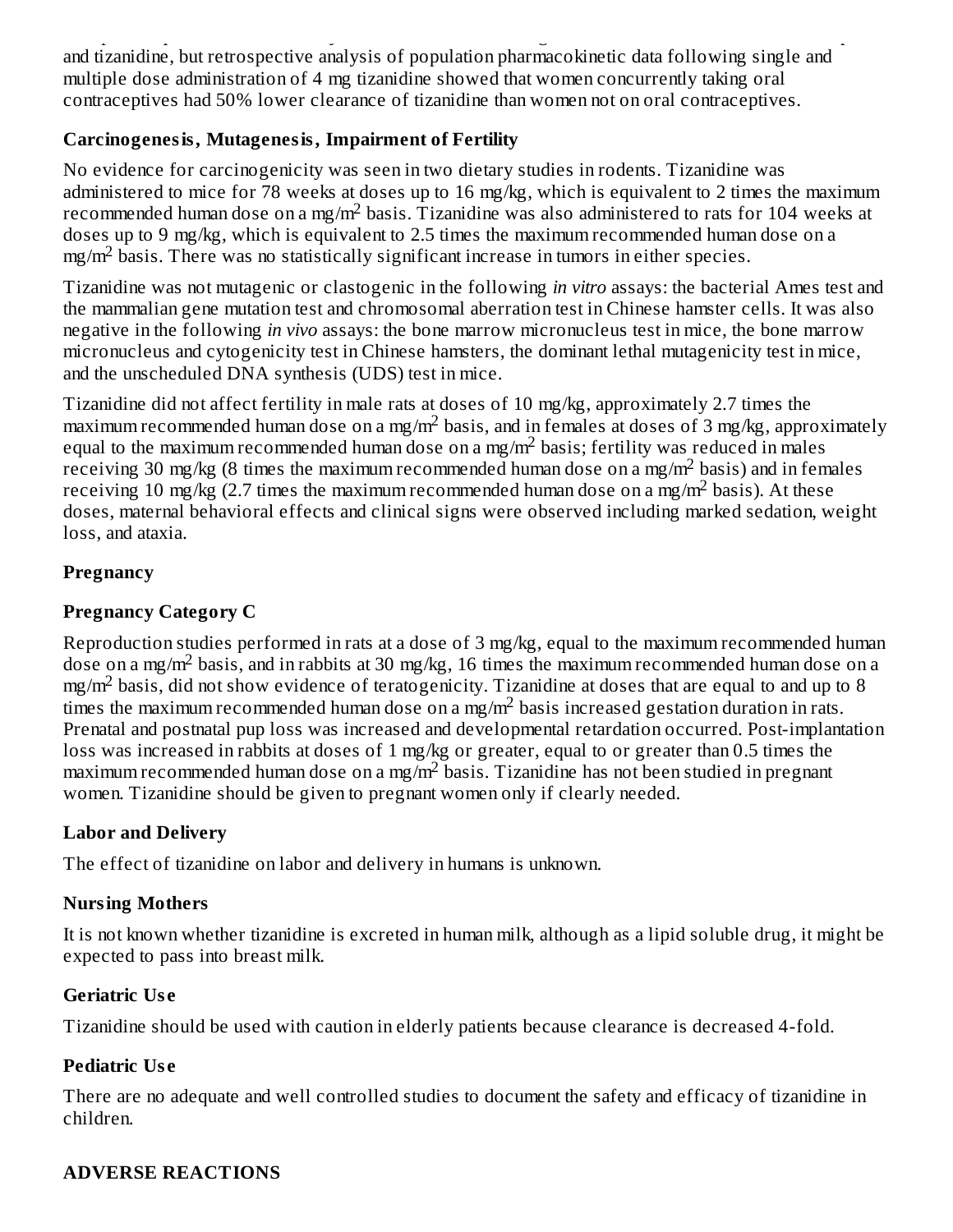No specific pharmacokinetic study was conducted to investigate interaction between oral contraceptives and tizanidine, but retrospective analysis of population pharmacokinetic data following single and multiple dose administration of 4 mg tizanidine showed that women concurrently taking oral contraceptives had 50% lower clearance of tizanidine than women not on oral contraceptives.

### **Carcinogenesis, Mutagenesis, Impairment of Fertility**

No evidence for carcinogenicity was seen in two dietary studies in rodents. Tizanidine was administered to mice for 78 weeks at doses up to 16 mg/kg, which is equivalent to 2 times the maximum recommended human dose on a mg/m<sup>2</sup> basis. Tizanidine was also administered to rats for 104 weeks at doses up to 9 mg/kg, which is equivalent to 2.5 times the maximum recommended human dose on a  $mg/m<sup>2</sup>$  basis. There was no statistically significant increase in tumors in either species.

Tizanidine was not mutagenic or clastogenic in the following *in vitro* assays: the bacterial Ames test and the mammalian gene mutation test and chromosomal aberration test in Chinese hamster cells. It was also negative in the following *in vivo* assays: the bone marrow micronucleus test in mice, the bone marrow micronucleus and cytogenicity test in Chinese hamsters, the dominant lethal mutagenicity test in mice, and the unscheduled DNA synthesis (UDS) test in mice.

Tizanidine did not affect fertility in male rats at doses of 10 mg/kg, approximately 2.7 times the maximum recommended human dose on a mg/m<sup>2</sup> basis, and in females at doses of 3 mg/kg, approximately equal to the maximum recommended human dose on a mg/m<sup>2</sup> basis; fertility was reduced in males receiving 30 mg/kg (8 times the maximum recommended human dose on a mg/m<sup>2</sup> basis) and in females receiving 10 mg/kg (2.7 times the maximum recommended human dose on a mg/m<sup>2</sup> basis). At these doses, maternal behavioral effects and clinical signs were observed including marked sedation, weight loss, and ataxia.

### **Pregnancy**

# **Pregnancy Category C**

Reproduction studies performed in rats at a dose of 3 mg/kg, equal to the maximum recommended human dose on a mg/m<sup>2</sup> basis, and in rabbits at 30 mg/kg, 16 times the maximum recommended human dose on a  $mg/m<sup>2</sup>$  basis, did not show evidence of teratogenicity. Tizanidine at doses that are equal to and up to 8 times the maximum recommended human dose on a mg/m<sup>2</sup> basis increased gestation duration in rats. Prenatal and postnatal pup loss was increased and developmental retardation occurred. Post-implantation loss was increased in rabbits at doses of 1 mg/kg or greater, equal to or greater than 0.5 times the maximum recommended human dose on a mg/m<sup>2</sup> basis. Tizanidine has not been studied in pregnant women. Tizanidine should be given to pregnant women only if clearly needed.

# **Labor and Delivery**

The effect of tizanidine on labor and delivery in humans is unknown.

# **Nursing Mothers**

It is not known whether tizanidine is excreted in human milk, although as a lipid soluble drug, it might be expected to pass into breast milk.

# **Geriatric Us e**

Tizanidine should be used with caution in elderly patients because clearance is decreased 4-fold.

# **Pediatric Us e**

There are no adequate and well controlled studies to document the safety and efficacy of tizanidine in children.

# **ADVERSE REACTIONS**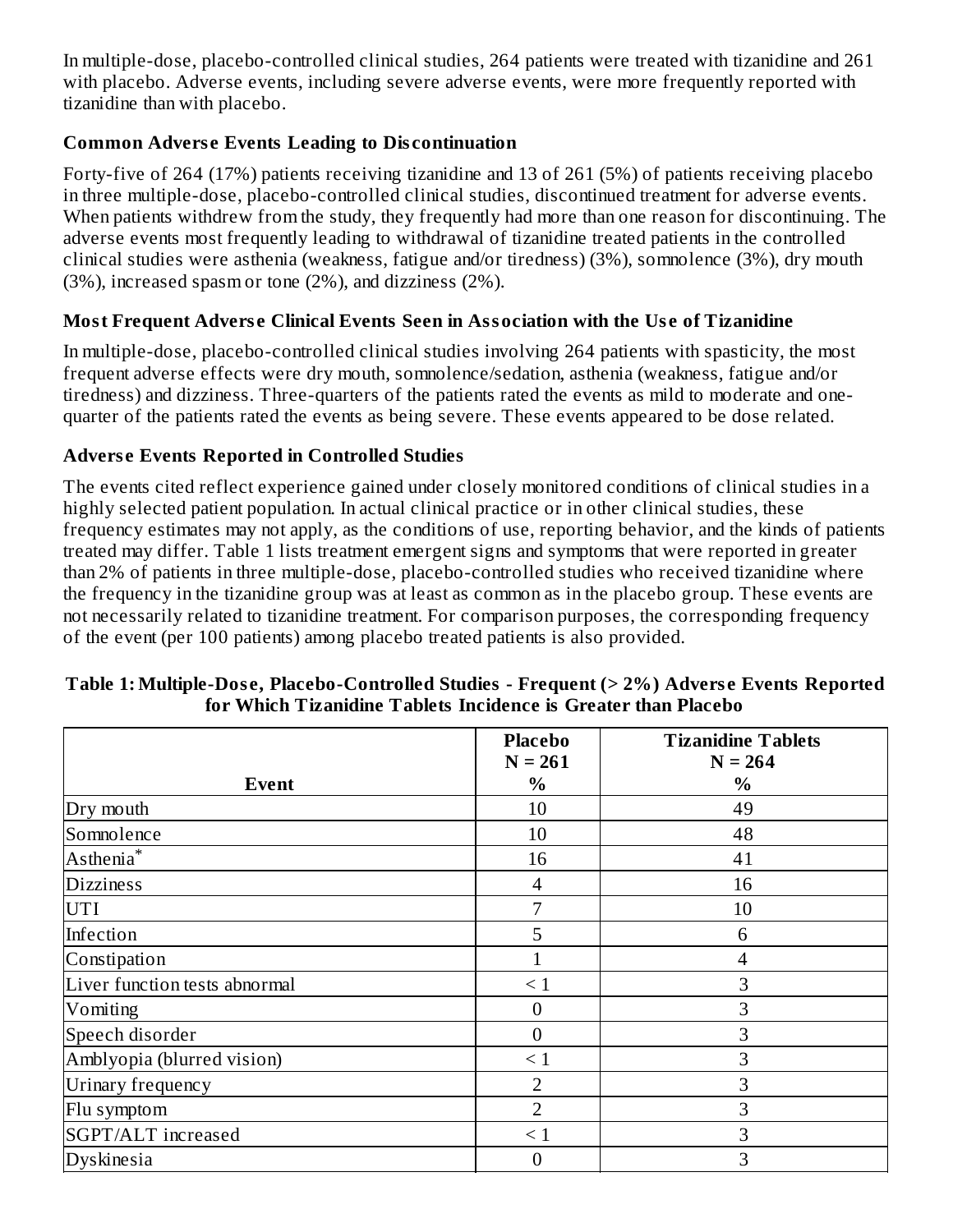In multiple-dose, placebo-controlled clinical studies, 264 patients were treated with tizanidine and 261 with placebo. Adverse events, including severe adverse events, were more frequently reported with tizanidine than with placebo.

# **Common Advers e Events Leading to Dis continuation**

Forty-five of 264 (17%) patients receiving tizanidine and 13 of 261 (5%) of patients receiving placebo in three multiple-dose, placebo-controlled clinical studies, discontinued treatment for adverse events. When patients withdrew from the study, they frequently had more than one reason for discontinuing. The adverse events most frequently leading to withdrawal of tizanidine treated patients in the controlled clinical studies were asthenia (weakness, fatigue and/or tiredness) (3%), somnolence (3%), dry mouth (3%), increased spasm or tone (2%), and dizziness (2%).

# **Most Frequent Advers e Clinical Events Seen in Association with the Us e of Tizanidine**

In multiple-dose, placebo-controlled clinical studies involving 264 patients with spasticity, the most frequent adverse effects were dry mouth, somnolence/sedation, asthenia (weakness, fatigue and/or tiredness) and dizziness. Three-quarters of the patients rated the events as mild to moderate and onequarter of the patients rated the events as being severe. These events appeared to be dose related.

### **Advers e Events Reported in Controlled Studies**

The events cited reflect experience gained under closely monitored conditions of clinical studies in a highly selected patient population. In actual clinical practice or in other clinical studies, these frequency estimates may not apply, as the conditions of use, reporting behavior, and the kinds of patients treated may differ. Table 1 lists treatment emergent signs and symptoms that were reported in greater than 2% of patients in three multiple-dose, placebo-controlled studies who received tizanidine where the frequency in the tizanidine group was at least as common as in the placebo group. These events are not necessarily related to tizanidine treatment. For comparison purposes, the corresponding frequency of the event (per 100 patients) among placebo treated patients is also provided.

|                               | <b>Placebo</b><br>$N = 261$ | <b>Tizanidine Tablets</b><br>$N = 264$ |
|-------------------------------|-----------------------------|----------------------------------------|
| <b>Event</b>                  | $\%$                        | $\%$                                   |
| Dry mouth                     | 10                          | 49                                     |
| Somnolence                    | 10                          | 48                                     |
| Asthenia <sup>*</sup>         | 16                          | 41                                     |
| <b>Dizziness</b>              | $\overline{4}$              | 16                                     |
| <b>UTI</b>                    | 7                           | 10                                     |
| Infection                     | 5                           | 6                                      |
| Constipation                  | 1                           | 4                                      |
| Liver function tests abnormal | $\leq 1$                    | 3                                      |
| Vomiting                      | $\overline{0}$              | 3                                      |
| Speech disorder               | $\overline{0}$              | 3                                      |
| Amblyopia (blurred vision)    | $\leq 1$                    | 3                                      |
| Urinary frequency             | 2                           | 3                                      |
| Flu symptom                   | $\overline{2}$              | 3                                      |
| SGPT/ALT increased            | $\leq 1$                    | 3                                      |
| Dyskinesia                    | $\Omega$                    | 3                                      |

#### **Table 1: Multiple-Dos e, Placebo-Controlled Studies - Frequent (> 2%) Advers e Events Reported for Which Tizanidine Tablets Incidence is Greater than Placebo**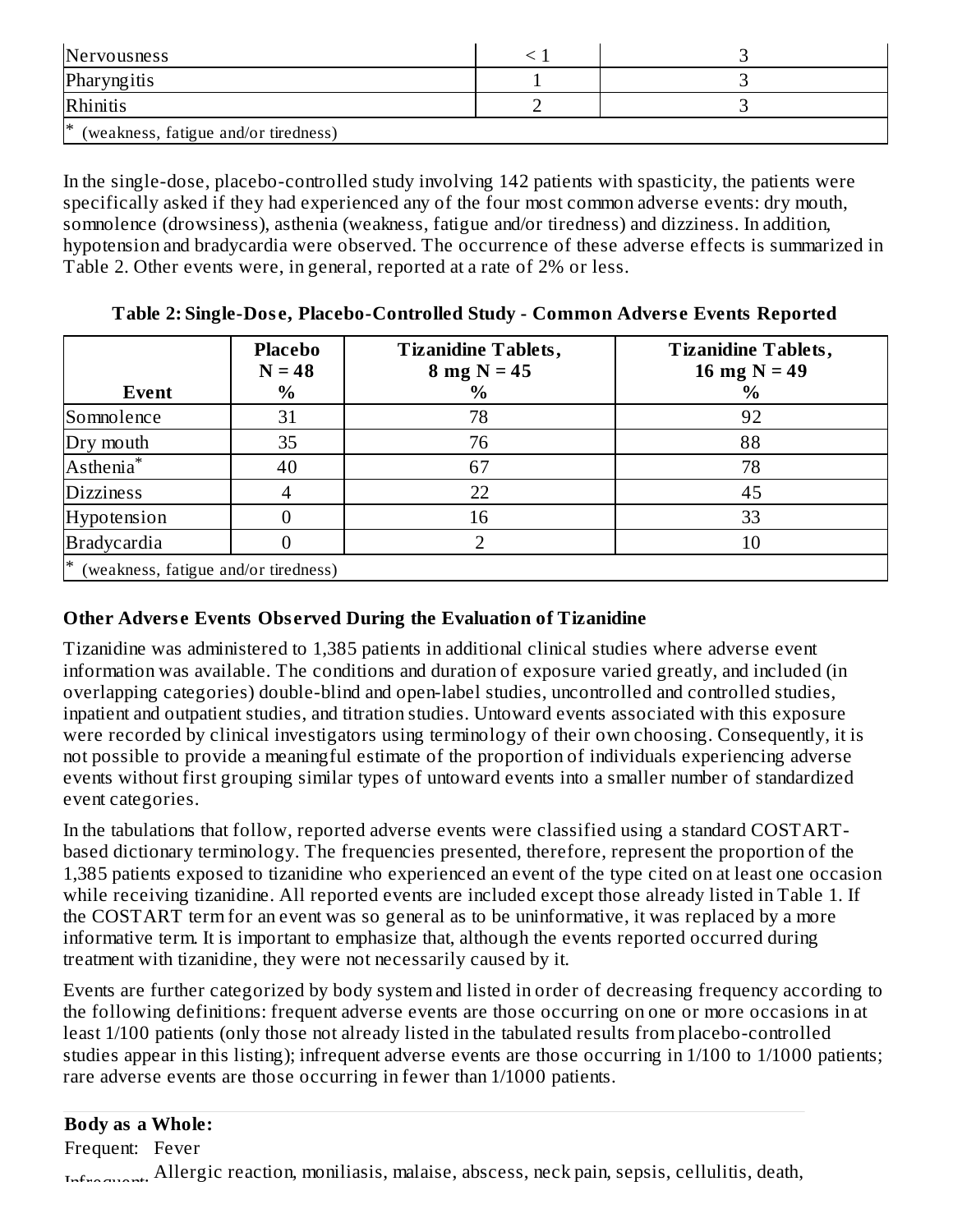| Nervousness                                |  |  |  |  |  |
|--------------------------------------------|--|--|--|--|--|
| Pharyngitis                                |  |  |  |  |  |
| Rhinitis                                   |  |  |  |  |  |
| I∗<br>(weakness, fatigue and/or tiredness) |  |  |  |  |  |

In the single-dose, placebo-controlled study involving 142 patients with spasticity, the patients were specifically asked if they had experienced any of the four most common adverse events: dry mouth, somnolence (drowsiness), asthenia (weakness, fatigue and/or tiredness) and dizziness. In addition, hypotension and bradycardia were observed. The occurrence of these adverse effects is summarized in Table 2. Other events were, in general, reported at a rate of 2% or less.

| Event                                     | <b>Placebo</b><br>$N = 48$<br>$\%$ | <b>Tizanidine Tablets,</b><br>$8 \text{ mg N} = 45$<br>$\%$ | <b>Tizanidine Tablets,</b><br>16 mg $N = 49$<br>$\%$ |
|-------------------------------------------|------------------------------------|-------------------------------------------------------------|------------------------------------------------------|
| Somnolence                                | 31                                 | 78                                                          | 92                                                   |
| Dry mouth                                 | 35                                 | 76                                                          | 88                                                   |
| Asthenia <sup>*</sup>                     | 40                                 | 67                                                          | 78                                                   |
| <b>Dizziness</b>                          |                                    | 22                                                          | 45                                                   |
| Hypotension                               |                                    | 16                                                          | 33                                                   |
| <b>Bradycardia</b>                        |                                    |                                                             | 10                                                   |
| ∗<br>(weakness, fatigue and/or tiredness) |                                    |                                                             |                                                      |

### **Table 2: Single-Dos e, Placebo-Controlled Study - Common Advers e Events Reported**

### **Other Advers e Events Obs erved During the Evaluation of Tizanidine**

Tizanidine was administered to 1,385 patients in additional clinical studies where adverse event information was available. The conditions and duration of exposure varied greatly, and included (in overlapping categories) double-blind and open-label studies, uncontrolled and controlled studies, inpatient and outpatient studies, and titration studies. Untoward events associated with this exposure were recorded by clinical investigators using terminology of their own choosing. Consequently, it is not possible to provide a meaningful estimate of the proportion of individuals experiencing adverse events without first grouping similar types of untoward events into a smaller number of standardized event categories.

In the tabulations that follow, reported adverse events were classified using a standard COSTARTbased dictionary terminology. The frequencies presented, therefore, represent the proportion of the 1,385 patients exposed to tizanidine who experienced an event of the type cited on at least one occasion while receiving tizanidine. All reported events are included except those already listed in Table 1. If the COSTART term for an event was so general as to be uninformative, it was replaced by a more informative term. It is important to emphasize that, although the events reported occurred during treatment with tizanidine, they were not necessarily caused by it.

Events are further categorized by body system and listed in order of decreasing frequency according to the following definitions: frequent adverse events are those occurring on one or more occasions in at least 1/100 patients (only those not already listed in the tabulated results from placebo-controlled studies appear in this listing); infrequent adverse events are those occurring in 1/100 to 1/1000 patients; rare adverse events are those occurring in fewer than 1/1000 patients.

### **Body as a Whole:**

Frequent: Fever Infrequent: Allergic reaction, moniliasis, malaise, abscess, neck pain, sepsis, cellulitis, death,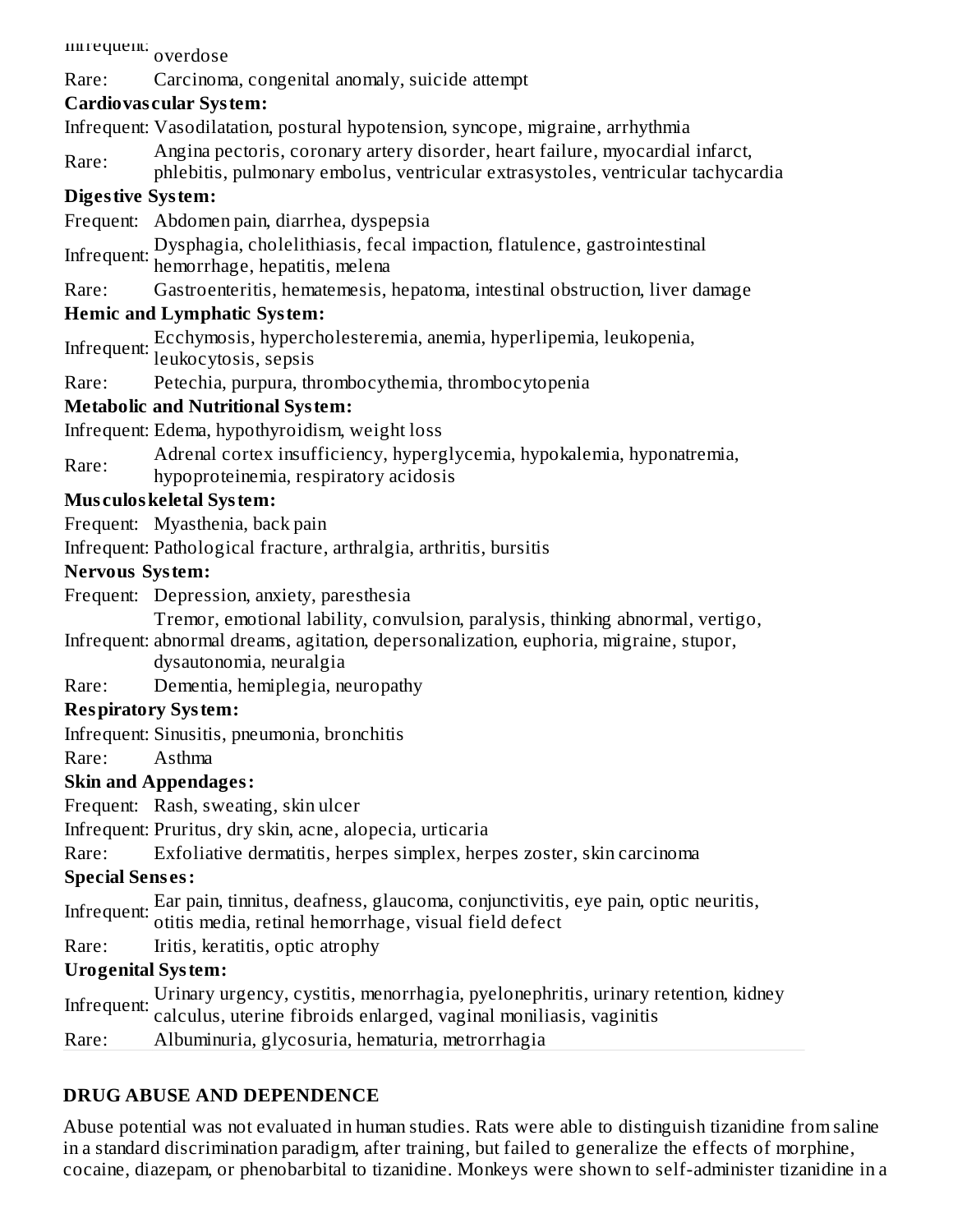nnrequent: <sub>overdose</sub>

### Rare: Carcinoma, congenital anomaly, suicide attempt

### **Cardiovas cular System:**

Infrequent: Vasodilatation, postural hypotension, syncope, migraine, arrhythmia

- Rare: Angina pectoris, coronary artery disorder, heart failure, myocardial infarct,
- phlebitis, pulmonary embolus, ventricular extrasystoles, ventricular tachycardia

### **Digestive System:**

- Frequent: Abdomen pain, diarrhea, dyspepsia
- Infrequent: Dysphagia, cholelithiasis, fecal impaction, flatulence, gastrointestinal hemorrhage, hepatitis, melena
- Rare: Gastroenteritis, hematemesis, hepatoma, intestinal obstruction, liver damage

### **Hemic and Lymphatic System:**

Infrequent: Ecchymosis, hypercholesteremia, anemia, hyperlipemia, leukopenia,

- leukocytosis, sepsis
- Rare: Petechia, purpura, thrombocythemia, thrombocytopenia

### **Metabolic and Nutritional System:**

Infrequent: Edema, hypothyroidism, weight loss

- Rare: Adrenal cortex insufficiency, hyperglycemia, hypokalemia, hyponatremia,
- hypoproteinemia, respiratory acidosis

### **Mus culoskeletal System:**

Frequent: Myasthenia, back pain

Infrequent: Pathological fracture, arthralgia, arthritis, bursitis

### **Nervous System:**

Frequent: Depression, anxiety, paresthesia

Tremor, emotional lability, convulsion, paralysis, thinking abnormal, vertigo,

- Infrequent: abnormal dreams, agitation, depersonalization, euphoria, migraine, stupor, dysautonomia, neuralgia
- Rare: Dementia, hemiplegia, neuropathy

# **Respiratory System:**

Infrequent: Sinusitis, pneumonia, bronchitis

Rare: Asthma

# **Skin and Appendages:**

Frequent: Rash, sweating, skin ulcer

Infrequent: Pruritus, dry skin, acne, alopecia, urticaria

Rare: Exfoliative dermatitis, herpes simplex, herpes zoster, skin carcinoma

# **Special Sens es:**

Infrequent: Ear pain, tinnitus, deafness, glaucoma, conjunctivitis, eye pain, optic neuritis, otitis media, retinal hemorrhage, visual field defect

Rare: Iritis, keratitis, optic atrophy

# **Urogenital System:**

Infrequent: Urinary urgency, cystitis, menorrhagia, pyelonephritis, urinary retention, kidney calculus, uterine fibroids enlarged, vaginal moniliasis, vaginitis

Rare: Albuminuria, glycosuria, hematuria, metrorrhagia

# **DRUG ABUSE AND DEPENDENCE**

Abuse potential was not evaluated in human studies. Rats were able to distinguish tizanidine from saline in a standard discrimination paradigm, after training, but failed to generalize the effects of morphine, cocaine, diazepam, or phenobarbital to tizanidine. Monkeys were shown to self-administer tizanidine in a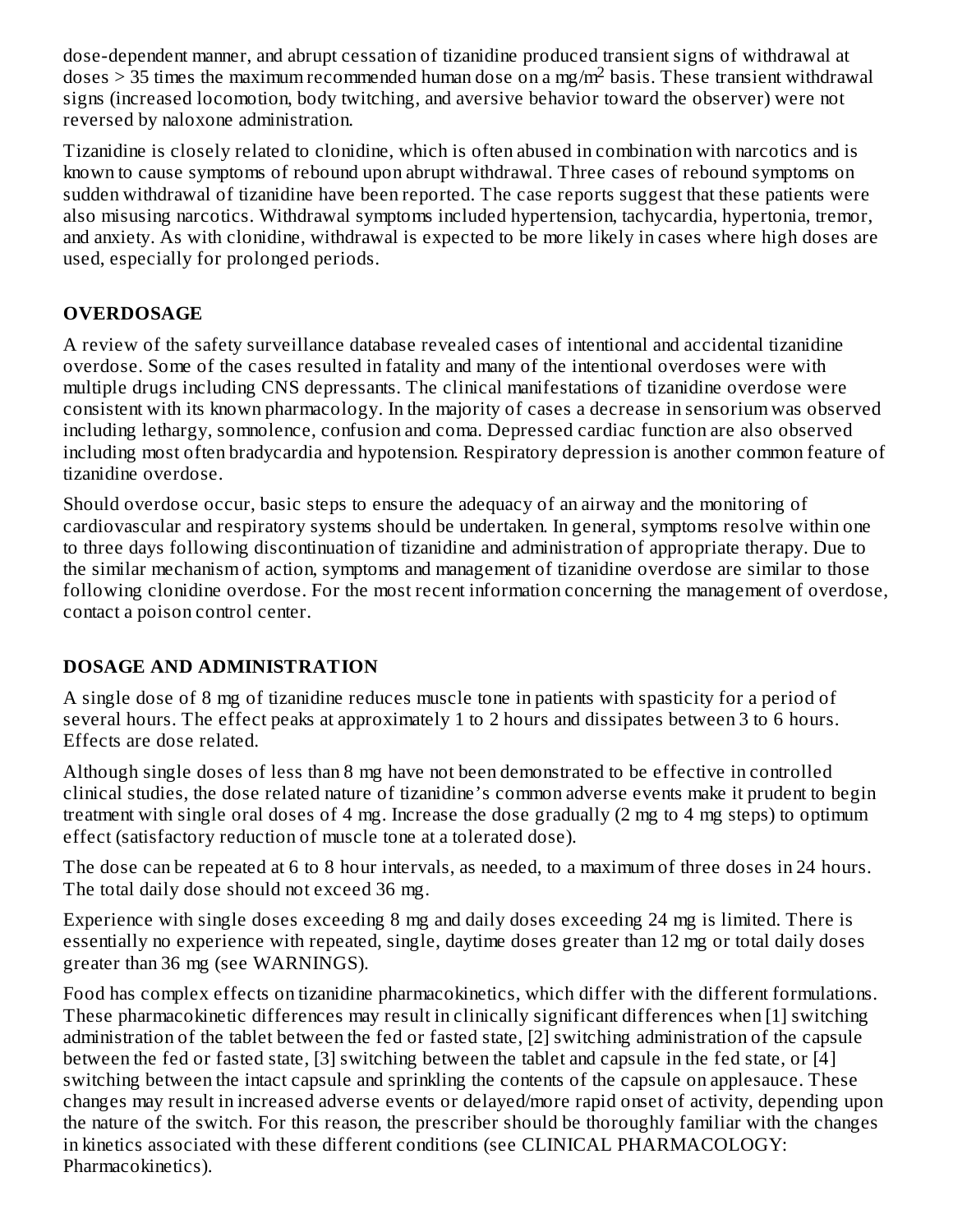dose-dependent manner, and abrupt cessation of tizanidine produced transient signs of withdrawal at doses  $>$  35 times the maximum recommended human dose on a mg/m<sup>2</sup> basis. These transient withdrawal signs (increased locomotion, body twitching, and aversive behavior toward the observer) were not reversed by naloxone administration.

Tizanidine is closely related to clonidine, which is often abused in combination with narcotics and is known to cause symptoms of rebound upon abrupt withdrawal. Three cases of rebound symptoms on sudden withdrawal of tizanidine have been reported. The case reports suggest that these patients were also misusing narcotics. Withdrawal symptoms included hypertension, tachycardia, hypertonia, tremor, and anxiety. As with clonidine, withdrawal is expected to be more likely in cases where high doses are used, especially for prolonged periods.

# **OVERDOSAGE**

A review of the safety surveillance database revealed cases of intentional and accidental tizanidine overdose. Some of the cases resulted in fatality and many of the intentional overdoses were with multiple drugs including CNS depressants. The clinical manifestations of tizanidine overdose were consistent with its known pharmacology. In the majority of cases a decrease in sensorium was observed including lethargy, somnolence, confusion and coma. Depressed cardiac function are also observed including most often bradycardia and hypotension. Respiratory depression is another common feature of tizanidine overdose.

Should overdose occur, basic steps to ensure the adequacy of an airway and the monitoring of cardiovascular and respiratory systems should be undertaken. In general, symptoms resolve within one to three days following discontinuation of tizanidine and administration of appropriate therapy. Due to the similar mechanism of action, symptoms and management of tizanidine overdose are similar to those following clonidine overdose. For the most recent information concerning the management of overdose, contact a poison control center.

# **DOSAGE AND ADMINISTRATION**

A single dose of 8 mg of tizanidine reduces muscle tone in patients with spasticity for a period of several hours. The effect peaks at approximately 1 to 2 hours and dissipates between 3 to 6 hours. Effects are dose related.

Although single doses of less than 8 mg have not been demonstrated to be effective in controlled clinical studies, the dose related nature of tizanidine's common adverse events make it prudent to begin treatment with single oral doses of 4 mg. Increase the dose gradually (2 mg to 4 mg steps) to optimum effect (satisfactory reduction of muscle tone at a tolerated dose).

The dose can be repeated at 6 to 8 hour intervals, as needed, to a maximum of three doses in 24 hours. The total daily dose should not exceed 36 mg.

Experience with single doses exceeding 8 mg and daily doses exceeding 24 mg is limited. There is essentially no experience with repeated, single, daytime doses greater than 12 mg or total daily doses greater than 36 mg (see WARNINGS).

Food has complex effects on tizanidine pharmacokinetics, which differ with the different formulations. These pharmacokinetic differences may result in clinically significant differences when [1] switching administration of the tablet between the fed or fasted state, [2] switching administration of the capsule between the fed or fasted state, [3] switching between the tablet and capsule in the fed state, or [4] switching between the intact capsule and sprinkling the contents of the capsule on applesauce. These changes may result in increased adverse events or delayed/more rapid onset of activity, depending upon the nature of the switch. For this reason, the prescriber should be thoroughly familiar with the changes in kinetics associated with these different conditions (see CLINICAL PHARMACOLOGY: Pharmacokinetics).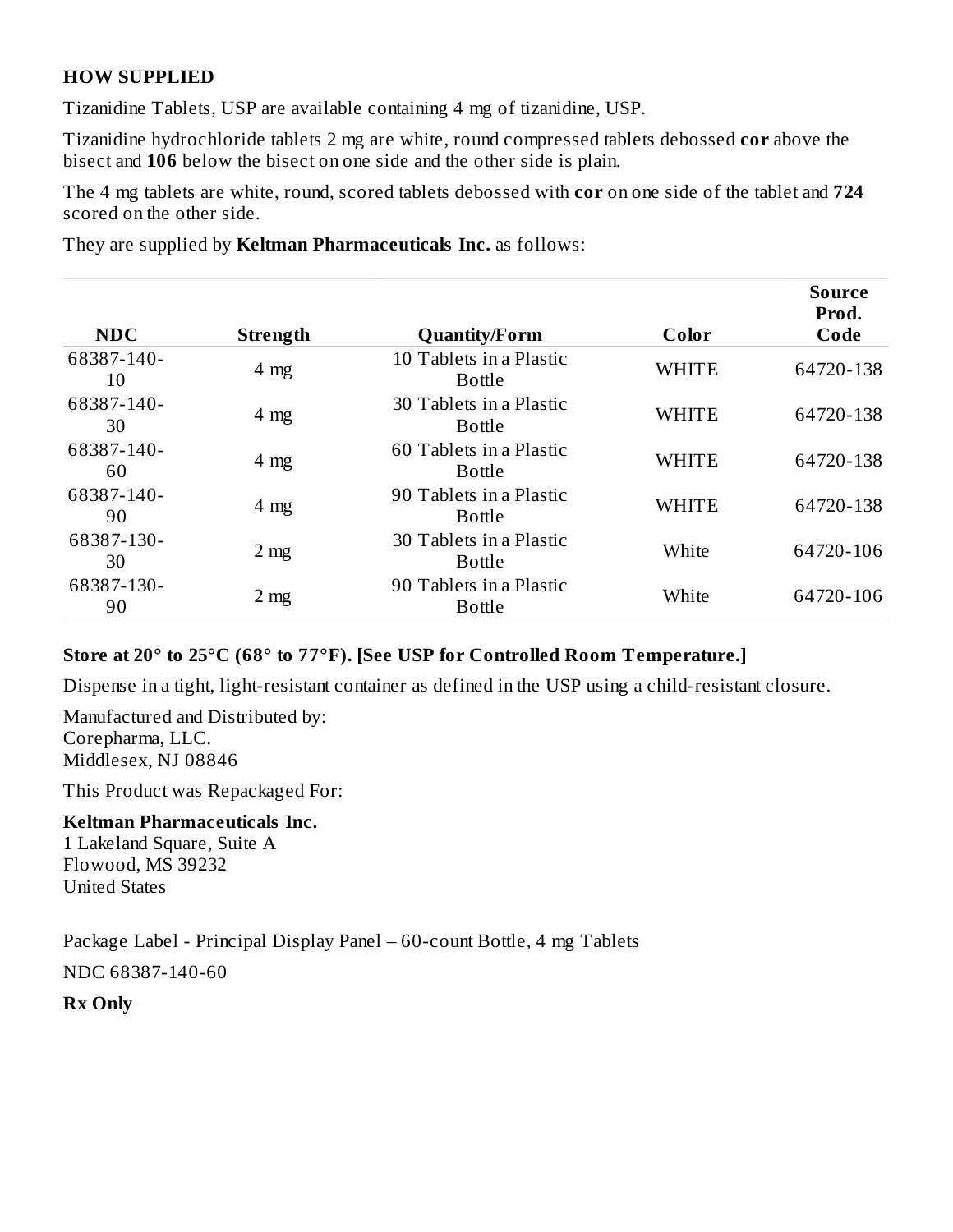### **HOW SUPPLIED**

Tizanidine Tablets, USP are available containing 4 mg of tizanidine, USP.

Tizanidine hydrochloride tablets 2 mg are white, round compressed tablets debossed **cor** above the bisect and **106** below the bisect on one side and the other side is plain.

The 4 mg tablets are white, round, scored tablets debossed with **cor** on one side of the tablet and **724** scored on the other side.

They are supplied by **Keltman Pharmaceuticals Inc.** as follows:

| <b>NDC</b>       | <b>Strength</b> | <b>Quantity/Form</b>                     | Color        | <b>Source</b><br>Prod.<br>Code |
|------------------|-----------------|------------------------------------------|--------------|--------------------------------|
| 68387-140-<br>10 | $4 \text{ mg}$  | 10 Tablets in a Plastic<br><b>Bottle</b> | <b>WHITE</b> | 64720-138                      |
| 68387-140-<br>30 | $4 \text{ mg}$  | 30 Tablets in a Plastic<br><b>Bottle</b> | <b>WHITE</b> | 64720-138                      |
| 68387-140-<br>60 | $4 \text{ mg}$  | 60 Tablets in a Plastic<br><b>Bottle</b> | <b>WHITE</b> | 64720-138                      |
| 68387-140-<br>90 | $4 \text{ mg}$  | 90 Tablets in a Plastic<br>Bottle        | <b>WHITE</b> | 64720-138                      |
| 68387-130-<br>30 | 2 <sub>mg</sub> | 30 Tablets in a Plastic<br><b>Bottle</b> | White        | 64720-106                      |
| 68387-130-<br>90 | $2 \text{ mg}$  | 90 Tablets in a Plastic<br><b>Bottle</b> | White        | 64720-106                      |

#### **Store at 20° to 25°C (68° to 77°F). [See USP for Controlled Room Temperature.]**

Dispense in a tight, light-resistant container as defined in the USP using a child-resistant closure.

Manufactured and Distributed by: Corepharma, LLC. Middlesex, NJ 08846

This Product was Repackaged For:

#### **Keltman Pharmaceuticals Inc.** 1 Lakeland Square, Suite A

Flowood, MS 39232 United States

Package Label - Principal Display Panel – 60-count Bottle, 4 mg Tablets

NDC 68387-140-60

**Rx Only**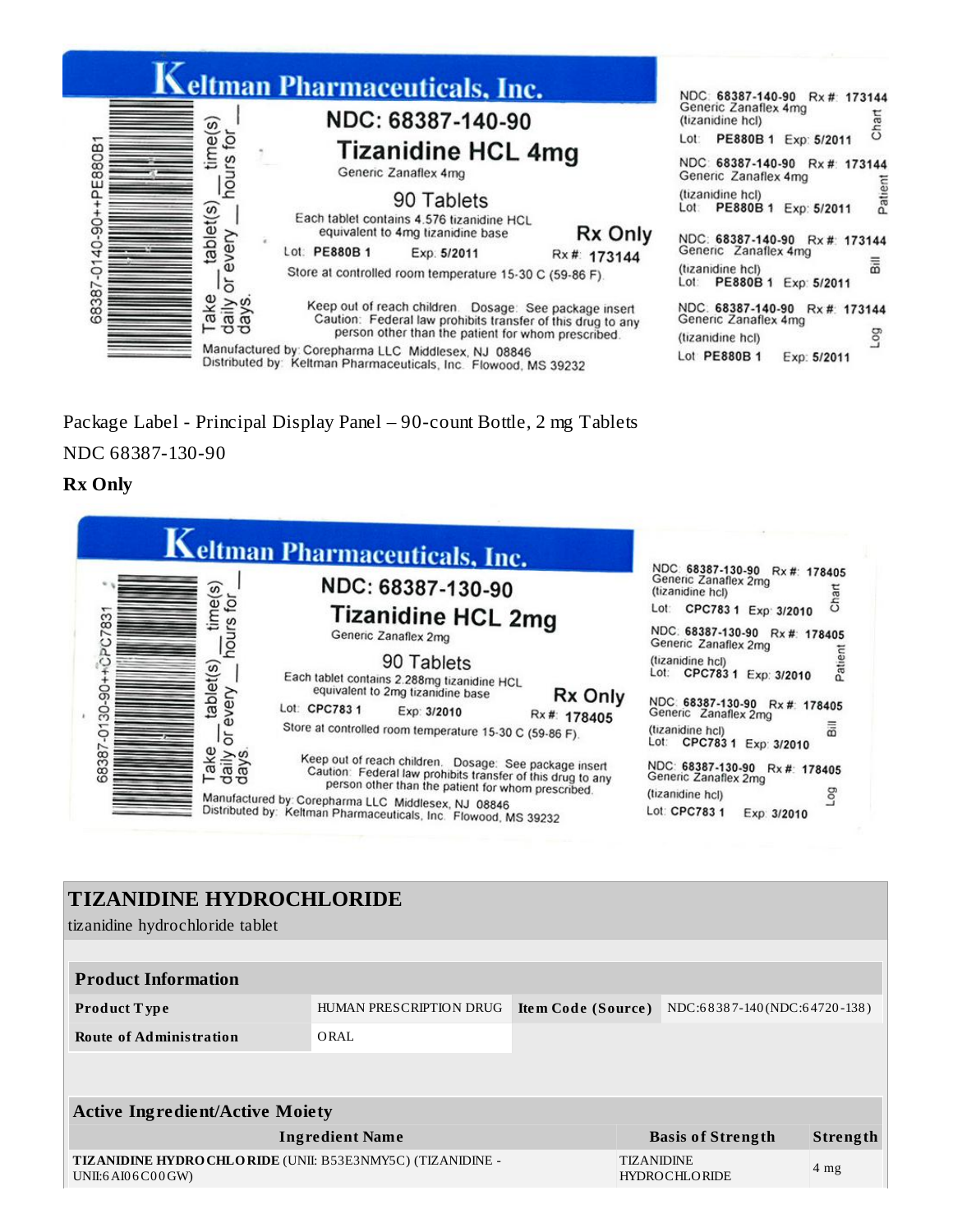

Package Label - Principal Display Panel – 90-count Bottle, 2 mg Tablets NDC 68387-130-90

#### **Rx Only**

| NDC: 68387-130-90<br><b>Tizanidine HCL 2mg</b><br>Generic Zanaflex 2mg<br>90 Tablets<br>Each tablet contains 2.288mg tizanidine HCL<br>equivalent to 2mg tizanidine base |                                                                    | NDC: 68387-130-90 Rx#: 178405<br>Generic Zanaflex 2mg<br>Chart<br>(tizanidine hcl)<br>Lot: CPC783 1 Exp: 3/2010<br>NDC: 68387-130-90 Rx#: 178405<br>Generic Zanaflex 2mg<br>Patient<br>(tizanidine hcl)<br>Lot: CPC783 1 Exp: 3/2010                                                                                      |
|--------------------------------------------------------------------------------------------------------------------------------------------------------------------------|--------------------------------------------------------------------|---------------------------------------------------------------------------------------------------------------------------------------------------------------------------------------------------------------------------------------------------------------------------------------------------------------------------|
|                                                                                                                                                                          |                                                                    |                                                                                                                                                                                                                                                                                                                           |
|                                                                                                                                                                          |                                                                    |                                                                                                                                                                                                                                                                                                                           |
|                                                                                                                                                                          |                                                                    |                                                                                                                                                                                                                                                                                                                           |
|                                                                                                                                                                          | Rx Only                                                            |                                                                                                                                                                                                                                                                                                                           |
| Lot: CPC783 1                                                                                                                                                            |                                                                    | NDC: 68387-130-90 Rx#: 178405<br>Generic Zanaflex 2mg                                                                                                                                                                                                                                                                     |
|                                                                                                                                                                          |                                                                    | (tizanidine hcl)<br>Lot: CPC783 1 Exp: 3/2010                                                                                                                                                                                                                                                                             |
|                                                                                                                                                                          |                                                                    | NDC: 68387-130-90 Rx#: 178405<br>Generic Zanaflex 2mg                                                                                                                                                                                                                                                                     |
|                                                                                                                                                                          |                                                                    | (tizanidine hcl)                                                                                                                                                                                                                                                                                                          |
|                                                                                                                                                                          | Exp: 3/2010<br>Manufactured by: Corepharma LLC Middlesex, NJ 08846 | Rx #: 178405<br>Store at controlled room temperature 15-30 C (59-86 F).<br>Keep out of reach children. Dosage: See package insert<br>Caution: Federal law prohibits transfer of this drug to any<br>person other than the patient for whom prescribed.<br>Distributed by: Keltman Pharmaceuticals, Inc. Flowood, MS 39232 |

### **TIZANIDINE HYDROCHLORIDE**

tizanidine hydrochloride tablet

| <b>Product Information</b>                                                          |  |  |                                                                                                                             |  |  |  |
|-------------------------------------------------------------------------------------|--|--|-----------------------------------------------------------------------------------------------------------------------------|--|--|--|
| HUMAN PRESCRIPTION DRUG                                                             |  |  |                                                                                                                             |  |  |  |
| ORAL                                                                                |  |  |                                                                                                                             |  |  |  |
|                                                                                     |  |  |                                                                                                                             |  |  |  |
|                                                                                     |  |  |                                                                                                                             |  |  |  |
| <b>Active Ingredient/Active Moiety</b>                                              |  |  |                                                                                                                             |  |  |  |
| <b>Ingredient Name</b>                                                              |  |  | Strength                                                                                                                    |  |  |  |
| TIZANIDINE HYDRO CHLORIDE (UNII: B53E3NMY5C) (TIZANIDINE -<br>UNII:6 AI0 6 C0 0 GW) |  |  | 4 <sub>mg</sub>                                                                                                             |  |  |  |
|                                                                                     |  |  | NDC:68387-140(NDC:64720-138)<br>Item Code (Source)<br><b>Basis of Strength</b><br><b>TIZANIDINE</b><br><b>HYDROCHLORIDE</b> |  |  |  |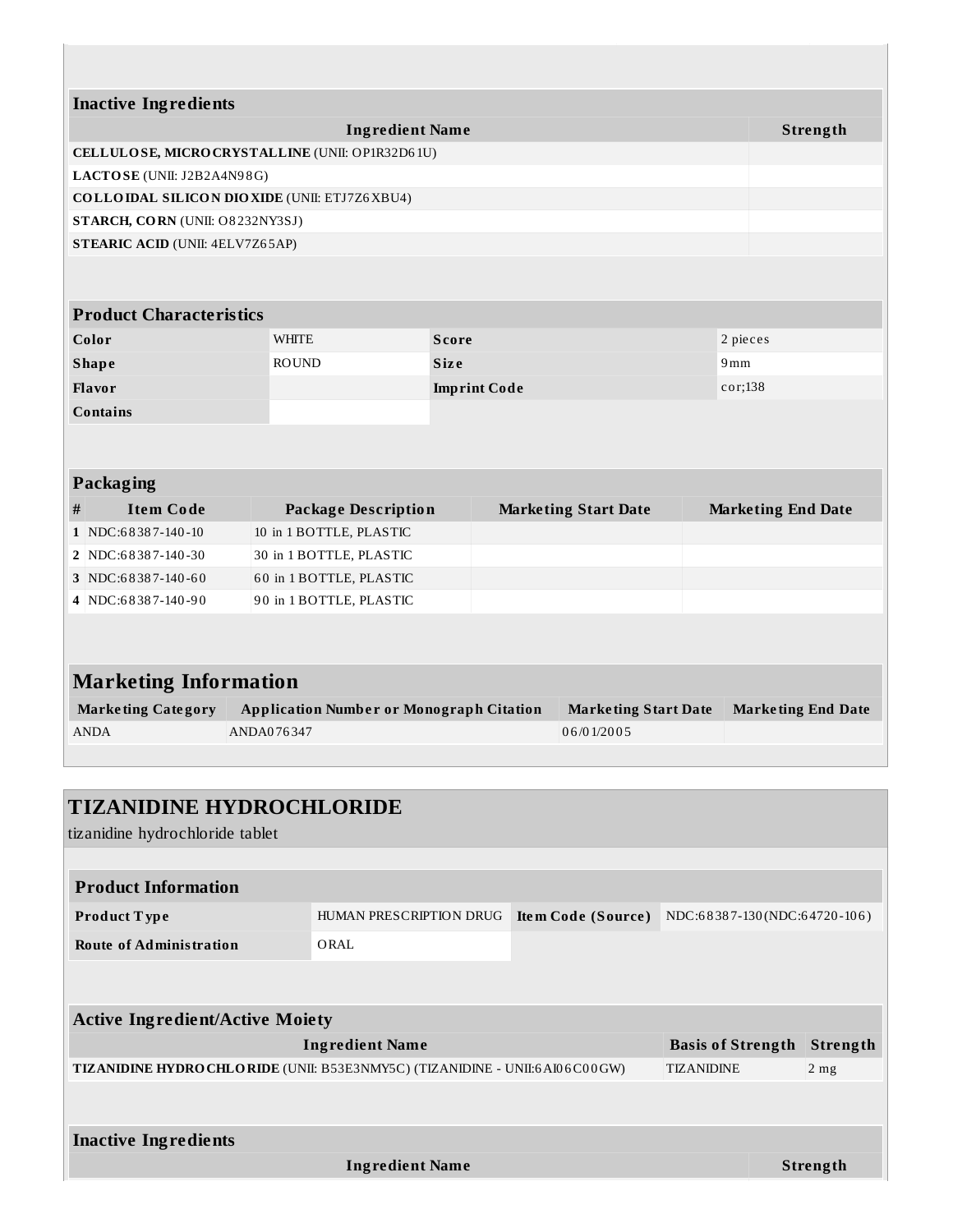|           | <b>Inactive Ingredients</b>     |                                                     |              |                     |                             |          |                           |  |
|-----------|---------------------------------|-----------------------------------------------------|--------------|---------------------|-----------------------------|----------|---------------------------|--|
|           |                                 | <b>Ingredient Name</b>                              |              |                     |                             |          | Strength                  |  |
|           |                                 | CELLULOSE, MICRO CRYSTALLINE (UNII: OP1R32D61U)     |              |                     |                             |          |                           |  |
|           | LACTOSE (UNII: J2B2A4N98G)      |                                                     |              |                     |                             |          |                           |  |
|           |                                 | <b>COLLOIDAL SILICON DIOXIDE (UNII: ETJ7Z6XBU4)</b> |              |                     |                             |          |                           |  |
|           | STARCH, CORN (UNII: O8232NY3SJ) |                                                     |              |                     |                             |          |                           |  |
|           | STEARIC ACID (UNII: 4ELV7Z65AP) |                                                     |              |                     |                             |          |                           |  |
|           |                                 |                                                     |              |                     |                             |          |                           |  |
|           | <b>Product Characteristics</b>  |                                                     |              |                     |                             |          |                           |  |
|           | Color                           | <b>WHITE</b>                                        | <b>Score</b> |                     |                             | 2 pieces |                           |  |
|           | <b>Shape</b>                    | <b>ROUND</b>                                        | <b>Size</b>  |                     | 9mm                         |          |                           |  |
|           | <b>Flavor</b>                   |                                                     |              | <b>Imprint Code</b> |                             | cor;138  |                           |  |
|           | <b>Contains</b>                 |                                                     |              |                     |                             |          |                           |  |
|           |                                 |                                                     |              |                     |                             |          |                           |  |
| Packaging |                                 |                                                     |              |                     |                             |          |                           |  |
| #         | <b>Item Code</b>                | <b>Package Description</b>                          |              |                     | <b>Marketing Start Date</b> |          | <b>Marketing End Date</b> |  |
|           | 1 NDC:68387-140-10              | 10 in 1 BOTTLE, PLASTIC                             |              |                     |                             |          |                           |  |
|           | 2 NDC:68387-140-30              | 30 in 1 BOTTLE, PLASTIC                             |              |                     |                             |          |                           |  |
|           | 3 NDC:68387-140-60              | 60 in 1 BOTTLE, PLASTIC                             |              |                     |                             |          |                           |  |
|           | 4 NDC:68387-140-90              | 90 in 1 BOTTLE, PLASTIC                             |              |                     |                             |          |                           |  |
|           |                                 |                                                     |              |                     |                             |          |                           |  |
|           |                                 |                                                     |              |                     |                             |          |                           |  |
|           |                                 |                                                     |              |                     |                             |          |                           |  |
|           | <b>Marketing Information</b>    |                                                     |              |                     |                             |          |                           |  |
|           | Marketing Category              | <b>Application Number or Monograph Citation</b>     |              |                     | Marketing Start Date        |          | Marketing End Date        |  |

| Marketing Category | <b>Application Number or Monograph Citation</b> | <b>Marketing Start Date</b> | <b>Marketing End Date</b> |
|--------------------|-------------------------------------------------|-----------------------------|---------------------------|
| <b>ANDA</b>        | ANDA076347                                      | 06/01/2005                  |                           |
|                    |                                                 |                             |                           |

| <b>TIZANIDINE HYDROCHLORIDE</b><br>tizanidine hydrochloride tablet                                 |                         |                           |                              |  |                 |  |
|----------------------------------------------------------------------------------------------------|-------------------------|---------------------------|------------------------------|--|-----------------|--|
|                                                                                                    |                         |                           |                              |  |                 |  |
| <b>Product Information</b>                                                                         |                         |                           |                              |  |                 |  |
| <b>Product Type</b>                                                                                | HUMAN PRESCRIPTION DRUG | <b>Item Code (Source)</b> | NDC:68387-130(NDC:64720-106) |  |                 |  |
| <b>Route of Administration</b>                                                                     | ORAL                    |                           |                              |  |                 |  |
|                                                                                                    |                         |                           |                              |  |                 |  |
| <b>Active Ingredient/Active Moiety</b>                                                             |                         |                           |                              |  |                 |  |
|                                                                                                    |                         |                           |                              |  |                 |  |
|                                                                                                    | <b>Ingredient Name</b>  |                           | <b>Basis of Strength</b>     |  | <b>Strength</b> |  |
| TIZANIDINE HYDRO CHLO RIDE (UNII: B53E3NMY5C) (TIZANIDINE - UNII:6 AI06C00GW)<br><b>TIZANIDINE</b> |                         |                           |                              |  | $2$ mg          |  |
|                                                                                                    |                         |                           |                              |  |                 |  |
|                                                                                                    |                         |                           |                              |  |                 |  |
| <b>Inactive Ingredients</b>                                                                        |                         |                           |                              |  |                 |  |
|                                                                                                    | <b>Ingredient Name</b>  |                           |                              |  | Strength        |  |